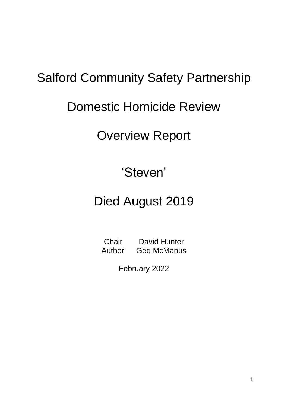# Salford Community Safety Partnership

# Domestic Homicide Review

# Overview Report

## 'Steven'

# Died August 2019

Chair David Hunter Author Ged McManus

February 2022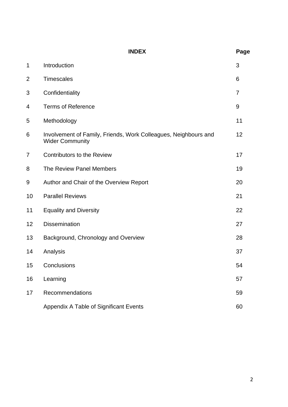|    | <b>INDEX</b>                                                                              | Page           |
|----|-------------------------------------------------------------------------------------------|----------------|
| 1  | Introduction                                                                              | 3              |
| 2  | <b>Timescales</b>                                                                         | 6              |
| 3  | Confidentiality                                                                           | $\overline{7}$ |
| 4  | <b>Terms of Reference</b>                                                                 | 9              |
| 5  | Methodology                                                                               | 11             |
| 6  | Involvement of Family, Friends, Work Colleagues, Neighbours and<br><b>Wider Community</b> | 12             |
| 7  | <b>Contributors to the Review</b>                                                         | 17             |
| 8  | The Review Panel Members                                                                  | 19             |
| 9  | Author and Chair of the Overview Report                                                   | 20             |
| 10 | <b>Parallel Reviews</b>                                                                   | 21             |
| 11 | <b>Equality and Diversity</b>                                                             | 22             |
| 12 | <b>Dissemination</b>                                                                      | 27             |
| 13 | Background, Chronology and Overview                                                       | 28             |
| 14 | Analysis                                                                                  | 37             |
| 15 | Conclusions                                                                               | 54             |
| 16 | Learning                                                                                  | 57             |
| 17 | Recommendations                                                                           | 59             |
|    | Appendix A Table of Significant Events                                                    | 60             |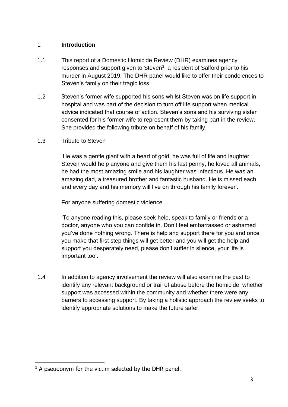#### 1 **Introduction**

- 1.1 This report of a Domestic Homicide Review (DHR) examines agency responses and support given to Steven**<sup>1</sup>** , a resident of Salford prior to his murder in August 2019. The DHR panel would like to offer their condolences to Steven's family on their tragic loss.
- 1.2 Steven's former wife supported his sons whilst Steven was on life support in hospital and was part of the decision to turn off life support when medical advice indicated that course of action. Steven's sons and his surviving sister consented for his former wife to represent them by taking part in the review. She provided the following tribute on behalf of his family.
- 1.3 Tribute to Steven

'He was a gentle giant with a heart of gold, he was full of life and laughter. Steven would help anyone and give them his last penny, he loved all animals, he had the most amazing smile and his laughter was infectious. He was an amazing dad, a treasured brother and fantastic husband. He is missed each and every day and his memory will live on through his family forever'.

For anyone suffering domestic violence.

'To anyone reading this, please seek help, speak to family or friends or a doctor, anyone who you can confide in. Don't feel embarrassed or ashamed you've done nothing wrong. There is help and support there for you and once you make that first step things will get better and you will get the help and support you desperately need, please don't suffer in silence, your life is important too'.

1.4 In addition to agency involvement the review will also examine the past to identify any relevant background or trail of abuse before the homicide, whether support was accessed within the community and whether there were any barriers to accessing support. By taking a holistic approach the review seeks to identify appropriate solutions to make the future safer.

**<sup>1</sup>** A pseudonym for the victim selected by the DHR panel.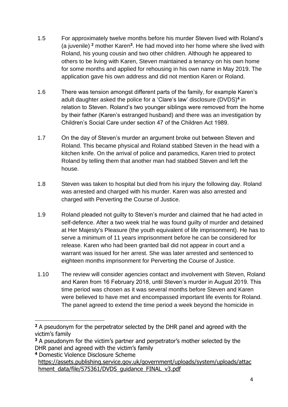- 1.5 For approximately twelve months before his murder Steven lived with Roland's (a juvenile) **<sup>2</sup>** mother Karen**<sup>3</sup>** . He had moved into her home where she lived with Roland, his young cousin and two other children. Although he appeared to others to be living with Karen, Steven maintained a tenancy on his own home for some months and applied for rehousing in his own name in May 2019. The application gave his own address and did not mention Karen or Roland.
- 1.6 There was tension amongst different parts of the family, for example Karen's adult daughter asked the police for a 'Clare's law' disclosure (DVDS)**<sup>4</sup>** in relation to Steven. Roland's two younger siblings were removed from the home by their father (Karen's estranged husband) and there was an investigation by Children's Social Care under section 47 of the Children Act 1989.
- 1.7 On the day of Steven's murder an argument broke out between Steven and Roland. This became physical and Roland stabbed Steven in the head with a kitchen knife. On the arrival of police and paramedics, Karen tried to protect Roland by telling them that another man had stabbed Steven and left the house.
- 1.8 Steven was taken to hospital but died from his injury the following day. Roland was arrested and charged with his murder. Karen was also arrested and charged with Perverting the Course of Justice.
- 1.9 Roland pleaded not guilty to Steven's murder and claimed that he had acted in self-defence. After a two week trial he was found guilty of murder and detained at Her Majesty's Pleasure (the youth equivalent of life imprisonment). He has to serve a minimum of 11 years imprisonment before he can be considered for release. Karen who had been granted bail did not appear in court and a warrant was issued for her arrest. She was later arrested and sentenced to eighteen months imprisonment for Perverting the Course of Justice.
- 1.10 The review will consider agencies contact and involvement with Steven, Roland and Karen from 16 February 2018, until Steven's murder in August 2019. This time period was chosen as it was several months before Steven and Karen were believed to have met and encompassed important life events for Roland. The panel agreed to extend the time period a week beyond the homicide in

**<sup>2</sup>** A pseudonym for the perpetrator selected by the DHR panel and agreed with the victim's family

**<sup>3</sup>** A pseudonym for the victim's partner and perpetrator's mother selected by the DHR panel and agreed with the victim's family

**<sup>4</sup>** Domestic Violence Disclosure Scheme [https://assets.publishing.service.gov.uk/government/uploads/system/uploads/attac](https://assets.publishing.service.gov.uk/government/uploads/system/uploads/attachment_data/file/575361/DVDS_guidance_FINAL_v3.pdf) [hment\\_data/file/575361/DVDS\\_guidance\\_FINAL\\_v3.pdf](https://assets.publishing.service.gov.uk/government/uploads/system/uploads/attachment_data/file/575361/DVDS_guidance_FINAL_v3.pdf)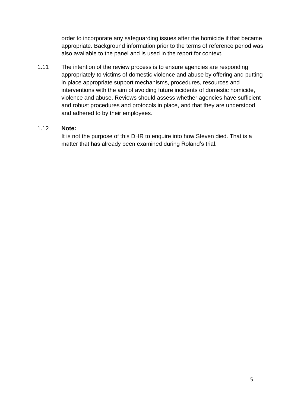order to incorporate any safeguarding issues after the homicide if that became appropriate. Background information prior to the terms of reference period was also available to the panel and is used in the report for context.

1.11 The intention of the review process is to ensure agencies are responding appropriately to victims of domestic violence and abuse by offering and putting in place appropriate support mechanisms, procedures, resources and interventions with the aim of avoiding future incidents of domestic homicide, violence and abuse. Reviews should assess whether agencies have sufficient and robust procedures and protocols in place, and that they are understood and adhered to by their employees.

#### 1.12 **Note:**

It is not the purpose of this DHR to enquire into how Steven died. That is a matter that has already been examined during Roland's trial.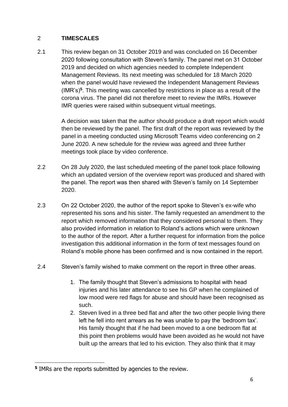#### 2 **TIMESCALES**

2.1 This review began on 31 October 2019 and was concluded on 16 December 2020 following consultation with Steven's family. The panel met on 31 October 2019 and decided on which agencies needed to complete Independent Management Reviews. Its next meeting was scheduled for 18 March 2020 when the panel would have reviewed the Independent Management Reviews (IMR's)**<sup>5</sup>** . This meeting was cancelled by restrictions in place as a result of the corona virus. The panel did not therefore meet to review the IMRs. However IMR queries were raised within subsequent virtual meetings.

> A decision was taken that the author should produce a draft report which would then be reviewed by the panel. The first draft of the report was reviewed by the panel in a meeting conducted using Microsoft Teams video conferencing on 2 June 2020. A new schedule for the review was agreed and three further meetings took place by video conference.

- 2.2 On 28 July 2020, the last scheduled meeting of the panel took place following which an updated version of the overview report was produced and shared with the panel. The report was then shared with Steven's family on 14 September 2020.
- 2.3 On 22 October 2020, the author of the report spoke to Steven's ex-wife who represented his sons and his sister. The family requested an amendment to the report which removed information that they considered personal to them. They also provided information in relation to Roland's actions which were unknown to the author of the report. After a further request for information from the police investigation this additional information in the form of text messages found on Roland's mobile phone has been confirmed and is now contained in the report.
- 2.4 Steven's family wished to make comment on the report in three other areas.
	- 1. The family thought that Steven's admissions to hospital with head injuries and his later attendance to see his GP when he complained of low mood were red flags for abuse and should have been recognised as such.
	- 2. Steven lived in a three bed flat and after the two other people living there left he fell into rent arrears as he was unable to pay the 'bedroom tax'. His family thought that if he had been moved to a one bedroom flat at this point then problems would have been avoided as he would not have built up the arrears that led to his eviction. They also think that it may

**<sup>5</sup>** IMRs are the reports submitted by agencies to the review.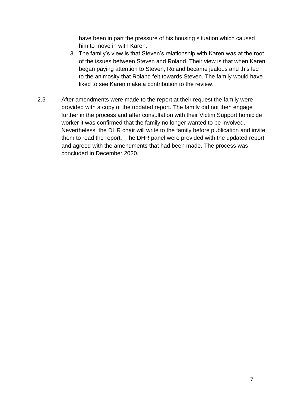have been in part the pressure of his housing situation which caused him to move in with Karen.

- 3. The family's view is that Steven's relationship with Karen was at the root of the issues between Steven and Roland. Their view is that when Karen began paying attention to Steven, Roland became jealous and this led to the animosity that Roland felt towards Steven. The family would have liked to see Karen make a contribution to the review.
- 2.5 After amendments were made to the report at their request the family were provided with a copy of the updated report. The family did not then engage further in the process and after consultation with their Victim Support homicide worker it was confirmed that the family no longer wanted to be involved. Nevertheless, the DHR chair will write to the family before publication and invite them to read the report. The DHR panel were provided with the updated report and agreed with the amendments that had been made. The process was concluded in December 2020.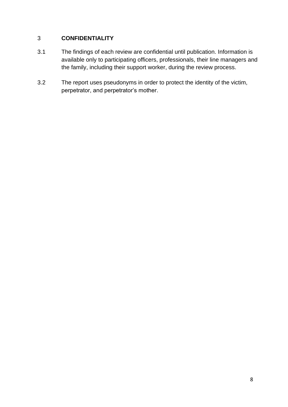### 3 **CONFIDENTIALITY**

- 3.1 The findings of each review are confidential until publication. Information is available only to participating officers, professionals, their line managers and the family, including their support worker, during the review process.
- 3.2 The report uses pseudonyms in order to protect the identity of the victim, perpetrator, and perpetrator's mother.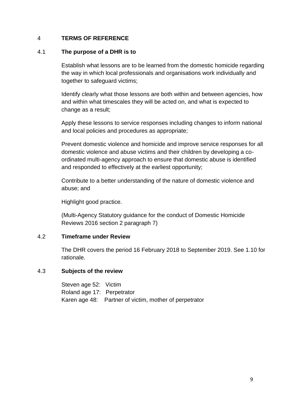#### 4 **TERMS OF REFERENCE**

#### 4.1 **The purpose of a DHR is to**

Establish what lessons are to be learned from the domestic homicide regarding the way in which local professionals and organisations work individually and together to safeguard victims;

Identify clearly what those lessons are both within and between agencies, how and within what timescales they will be acted on, and what is expected to change as a result;

Apply these lessons to service responses including changes to inform national and local policies and procedures as appropriate;

Prevent domestic violence and homicide and improve service responses for all domestic violence and abuse victims and their children by developing a coordinated multi-agency approach to ensure that domestic abuse is identified and responded to effectively at the earliest opportunity;

Contribute to a better understanding of the nature of domestic violence and abuse; and

Highlight good practice.

(Multi-Agency Statutory guidance for the conduct of Domestic Homicide Reviews 2016 section 2 paragraph 7)

#### 4.2 **Timeframe under Review**

The DHR covers the period 16 February 2018 to September 2019. See 1.10 for rationale.

#### 4.3 **Subjects of the review**

Steven age 52: Victim Roland age 17: Perpetrator Karen age 48: Partner of victim, mother of perpetrator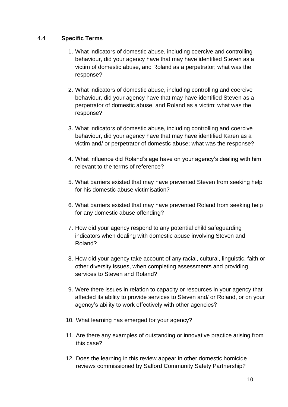#### 4.4 **Specific Terms**

- 1. What indicators of domestic abuse, including coercive and controlling behaviour, did your agency have that may have identified Steven as a victim of domestic abuse, and Roland as a perpetrator; what was the response?
- 2. What indicators of domestic abuse, including controlling and coercive behaviour, did your agency have that may have identified Steven as a perpetrator of domestic abuse, and Roland as a victim; what was the response?
- 3. What indicators of domestic abuse, including controlling and coercive behaviour, did your agency have that may have identified Karen as a victim and/ or perpetrator of domestic abuse; what was the response?
- 4. What influence did Roland's age have on your agency's dealing with him relevant to the terms of reference?
- 5. What barriers existed that may have prevented Steven from seeking help for his domestic abuse victimisation?
- 6. What barriers existed that may have prevented Roland from seeking help for any domestic abuse offending?
- 7. How did your agency respond to any potential child safeguarding indicators when dealing with domestic abuse involving Steven and Roland?
- 8. How did your agency take account of any racial, cultural, linguistic, faith or other diversity issues, when completing assessments and providing services to Steven and Roland?
- 9. Were there issues in relation to capacity or resources in your agency that affected its ability to provide services to Steven and/ or Roland, or on your agency's ability to work effectively with other agencies?
- 10. What learning has emerged for your agency?
- 11. Are there any examples of outstanding or innovative practice arising from this case?
- 12. Does the learning in this review appear in other domestic homicide reviews commissioned by Salford Community Safety Partnership?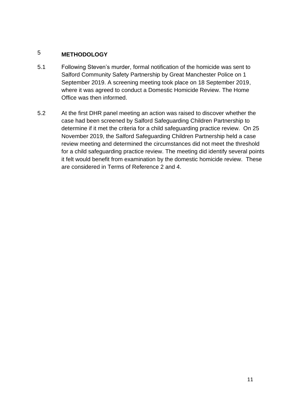### 5 **METHODOLOGY**

- 5.1 Following Steven's murder, formal notification of the homicide was sent to Salford Community Safety Partnership by Great Manchester Police on 1 September 2019. A screening meeting took place on 18 September 2019, where it was agreed to conduct a Domestic Homicide Review. The Home Office was then informed.
- 5.2 At the first DHR panel meeting an action was raised to discover whether the case had been screened by Salford Safeguarding Children Partnership to determine if it met the criteria for a child safeguarding practice review. On 25 November 2019, the Salford Safeguarding Children Partnership held a case review meeting and determined the circumstances did not meet the threshold for a child safeguarding practice review. The meeting did identify several points it felt would benefit from examination by the domestic homicide review. These are considered in Terms of Reference 2 and 4.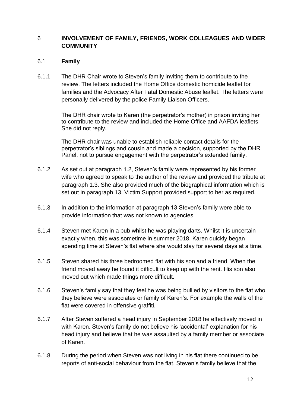#### 6 **INVOLVEMENT OF FAMILY, FRIENDS, WORK COLLEAGUES AND WIDER COMMUNITY**

#### 6.1 **Family**

6.1.1 The DHR Chair wrote to Steven's family inviting them to contribute to the review. The letters included the Home Office domestic homicide leaflet for families and the Advocacy After Fatal Domestic Abuse leaflet. The letters were personally delivered by the police Family Liaison Officers.

> The DHR chair wrote to Karen (the perpetrator's mother) in prison inviting her to contribute to the review and included the Home Office and AAFDA leaflets. She did not reply.

> The DHR chair was unable to establish reliable contact details for the perpetrator's siblings and cousin and made a decision, supported by the DHR Panel, not to pursue engagement with the perpetrator's extended family.

- 6.1.2 As set out at paragraph 1.2, Steven's family were represented by his former wife who agreed to speak to the author of the review and provided the tribute at paragraph 1.3. She also provided much of the biographical information which is set out in paragraph 13. Victim Support provided support to her as required.
- 6.1.3 In addition to the information at paragraph 13 Steven's family were able to provide information that was not known to agencies.
- 6.1.4 Steven met Karen in a pub whilst he was playing darts. Whilst it is uncertain exactly when, this was sometime in summer 2018. Karen quickly began spending time at Steven's flat where she would stay for several days at a time.
- 6.1.5 Steven shared his three bedroomed flat with his son and a friend. When the friend moved away he found it difficult to keep up with the rent. His son also moved out which made things more difficult.
- 6.1.6 Steven's family say that they feel he was being bullied by visitors to the flat who they believe were associates or family of Karen's. For example the walls of the flat were covered in offensive graffiti.
- 6.1.7 After Steven suffered a head injury in September 2018 he effectively moved in with Karen. Steven's family do not believe his 'accidental' explanation for his head injury and believe that he was assaulted by a family member or associate of Karen.
- 6.1.8 During the period when Steven was not living in his flat there continued to be reports of anti-social behaviour from the flat. Steven's family believe that the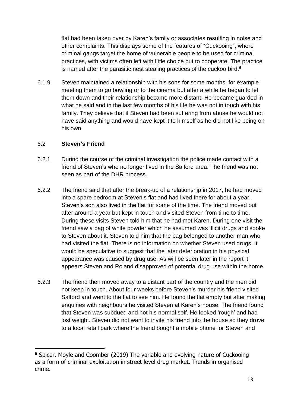flat had been taken over by Karen's family or associates resulting in noise and other complaints. This displays some of the features of "Cuckooing", where criminal gangs target the home of vulnerable people to be used for criminal practices, with victims often left with little choice but to cooperate. The practice is named after the parasitic nest stealing practices of the cuckoo bird.**<sup>6</sup>**

6.1.9 Steven maintained a relationship with his sons for some months, for example meeting them to go bowling or to the cinema but after a while he began to let them down and their relationship became more distant. He became guarded in what he said and in the last few months of his life he was not in touch with his family. They believe that if Steven had been suffering from abuse he would not have said anything and would have kept it to himself as he did not like being on his own.

#### 6.2 **Steven's Friend**

- 6.2.1 During the course of the criminal investigation the police made contact with a friend of Steven's who no longer lived in the Salford area. The friend was not seen as part of the DHR process.
- 6.2.2 The friend said that after the break-up of a relationship in 2017, he had moved into a spare bedroom at Steven's flat and had lived there for about a year. Steven's son also lived in the flat for some of the time. The friend moved out after around a year but kept in touch and visited Steven from time to time. During these visits Steven told him that he had met Karen. During one visit the friend saw a bag of white powder which he assumed was illicit drugs and spoke to Steven about it. Steven told him that the bag belonged to another man who had visited the flat. There is no information on whether Steven used drugs. It would be speculative to suggest that the later deterioration in his physical appearance was caused by drug use. As will be seen later in the report it appears Steven and Roland disapproved of potential drug use within the home.
- 6.2.3 The friend then moved away to a distant part of the country and the men did not keep in touch. About four weeks before Steven's murder his friend visited Salford and went to the flat to see him. He found the flat empty but after making enquiries with neighbours he visited Steven at Karen's house. The friend found that Steven was subdued and not his normal self. He looked 'rough' and had lost weight. Steven did not want to invite his friend into the house so they drove to a local retail park where the friend bought a mobile phone for Steven and

**<sup>6</sup>** Spicer, Moyle and Coomber (2019) The variable and evolving nature of Cuckooing as a form of criminal exploitation in street level drug market. Trends in organised crime.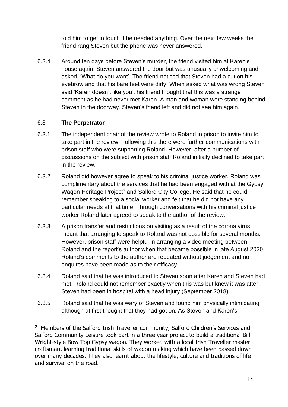told him to get in touch if he needed anything. Over the next few weeks the friend rang Steven but the phone was never answered.

6.2.4 Around ten days before Steven's murder, the friend visited him at Karen's house again. Steven answered the door but was unusually unwelcoming and asked, 'What do you want'. The friend noticed that Steven had a cut on his eyebrow and that his bare feet were dirty. When asked what was wrong Steven said 'Karen doesn't like you', his friend thought that this was a strange comment as he had never met Karen. A man and woman were standing behind Steven in the doorway. Steven's friend left and did not see him again.

#### 6.3 **The Perpetrator**

- 6.3.1 The independent chair of the review wrote to Roland in prison to invite him to take part in the review. Following this there were further communications with prison staff who were supporting Roland. However, after a number of discussions on the subject with prison staff Roland initially declined to take part in the review.
- 6.3.2 Roland did however agree to speak to his criminal justice worker. Roland was complimentary about the services that he had been engaged with at the Gypsy Wagon Heritage Project<sup>7</sup> and Salford City College. He said that he could remember speaking to a social worker and felt that he did not have any particular needs at that time. Through conversations with his criminal justice worker Roland later agreed to speak to the author of the review.
- 6.3.3 A prison transfer and restrictions on visiting as a result of the corona virus meant that arranging to speak to Roland was not possible for several months. However, prison staff were helpful in arranging a video meeting between Roland and the report's author when that became possible in late August 2020. Roland's comments to the author are repeated without judgement and no enquires have been made as to their efficacy.
- 6.3.4 Roland said that he was introduced to Steven soon after Karen and Steven had met. Roland could not remember exactly when this was but knew it was after Steven had been in hospital with a head injury (September 2018).
- 6.3.5 Roland said that he was wary of Steven and found him physically intimidating although at first thought that they had got on. As Steven and Karen's

**<sup>7</sup>** Members of the Salford Irish Traveller community, Salford Children's Services and Salford Community Leisure took part in a three year project to build a traditional Bill Wright-style Bow Top Gypsy wagon. They worked with a local Irish Traveller master craftsman, learning traditional skills of wagon making which have been passed down over many decades. They also learnt about the lifestyle, culture and traditions of life and survival on the road.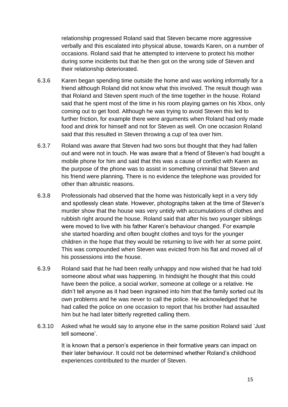relationship progressed Roland said that Steven became more aggressive verbally and this escalated into physical abuse, towards Karen, on a number of occasions. Roland said that he attempted to intervene to protect his mother during some incidents but that he then got on the wrong side of Steven and their relationship deteriorated.

- 6.3.6 Karen began spending time outside the home and was working informally for a friend although Roland did not know what this involved. The result though was that Roland and Steven spent much of the time together in the house. Roland said that he spent most of the time in his room playing games on his Xbox, only coming out to get food. Although he was trying to avoid Steven this led to further friction, for example there were arguments when Roland had only made food and drink for himself and not for Steven as well. On one occasion Roland said that this resulted in Steven throwing a cup of tea over him.
- 6.3.7 Roland was aware that Steven had two sons but thought that they had fallen out and were not in touch. He was aware that a friend of Steven's had bought a mobile phone for him and said that this was a cause of conflict with Karen as the purpose of the phone was to assist in something criminal that Steven and his friend were planning. There is no evidence the telephone was provided for other than altruistic reasons.
- 6.3.8 Professionals had observed that the home was historically kept in a very tidy and spotlessly clean state. However, photographs taken at the time of Steven's murder show that the house was very untidy with accumulations of clothes and rubbish right around the house. Roland said that after his two younger siblings were moved to live with his father Karen's behaviour changed. For example she started hoarding and often bought clothes and toys for the younger children in the hope that they would be returning to live with her at some point. This was compounded when Steven was evicted from his flat and moved all of his possessions into the house.
- 6.3.9 Roland said that he had been really unhappy and now wished that he had told someone about what was happening. In hindsight he thought that this could have been the police, a social worker, someone at college or a relative. He didn't tell anyone as it had been ingrained into him that the family sorted out its own problems and he was never to call the police. He acknowledged that he had called the police on one occasion to report that his brother had assaulted him but he had later bitterly regretted calling them.
- 6.3.10 Asked what he would say to anyone else in the same position Roland said 'Just tell someone'.

It is known that a person's experience in their formative years can impact on their later behaviour. It could not be determined whether Roland's childhood experiences contributed to the murder of Steven.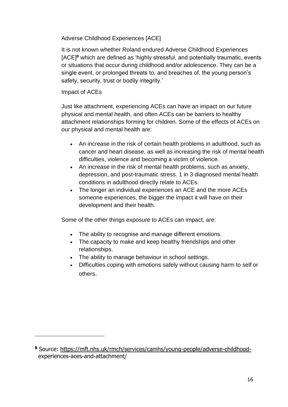Adverse Childhood Experiences [ACE]

It is not known whether Roland endured Adverse Childhood Experiences [ACE]**<sup>8</sup>** which are defined as 'highly stressful, and potentially traumatic, events or situations that occur during childhood and/or adolescence. They can be a single event, or prolonged threats to, and breaches of, the young person's safety, security, trust or bodily integrity.'

#### Impact of ACEs

Just like attachment, experiencing ACEs can have an impact on our future physical and mental health, and often ACEs can be barriers to healthy attachment relationships forming for children. Some of the effects of ACEs on our physical and mental health are:

- An increase in the risk of certain health problems in adulthood, such as cancer and heart disease, as well as increasing the risk of mental health difficulties, violence and becoming a victim of violence.
- An increase in the risk of mental health problems, such as anxiety, depression, and post-traumatic stress. 1 in 3 diagnosed mental health conditions in adulthood directly relate to ACEs.
- The longer an individual experiences an ACE and the more ACEs someone experiences, the bigger the impact it will have on their development and their health.

Some of the other things exposure to ACEs can impact, are:

- The ability to recognise and manage different emotions.
- The capacity to make and keep healthy friendships and other relationships.
- The ability to manage behaviour in school settings.
- Difficulties coping with emotions safely without causing harm to self or others.

**<sup>8</sup>** Source: [https://mft.nhs.uk/rmch/services/camhs/young-people/adverse-childhood](https://mft.nhs.uk/rmch/services/camhs/young-people/adverse-childhood-)experiences-aces-and-attachment/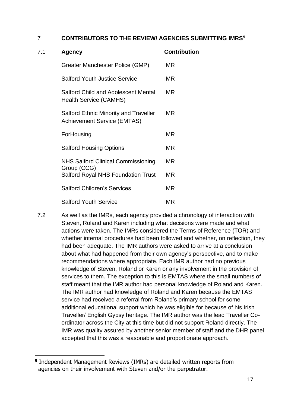#### 7 **CONTRIBUTORS TO THE REVIEW/ AGENCIES SUBMITTING IMRS<sup>9</sup>**

| 7.1 | Agency                                                                      | <b>Contribution</b> |
|-----|-----------------------------------------------------------------------------|---------------------|
|     | Greater Manchester Police (GMP)                                             | <b>IMR</b>          |
|     | <b>Salford Youth Justice Service</b>                                        | <b>IMR</b>          |
|     | <b>Salford Child and Adolescent Mental</b><br><b>Health Service (CAMHS)</b> | <b>IMR</b>          |
|     | Salford Ethnic Minority and Traveller<br><b>Achievement Service (EMTAS)</b> | <b>IMR</b>          |
|     | ForHousing                                                                  | <b>IMR</b>          |
|     | <b>Salford Housing Options</b>                                              | <b>IMR</b>          |
|     | <b>NHS Salford Clinical Commissioning</b><br>Group (CCG)                    | <b>IMR</b>          |
|     | <b>Salford Royal NHS Foundation Trust</b>                                   | <b>IMR</b>          |
|     | <b>Salford Children's Services</b>                                          | <b>IMR</b>          |
|     | <b>Salford Youth Service</b>                                                | <b>IMR</b>          |

7.2 As well as the IMRs, each agency provided a chronology of interaction with Steven, Roland and Karen including what decisions were made and what actions were taken. The IMRs considered the Terms of Reference (TOR) and whether internal procedures had been followed and whether, on reflection, they had been adequate. The IMR authors were asked to arrive at a conclusion about what had happened from their own agency's perspective, and to make recommendations where appropriate. Each IMR author had no previous knowledge of Steven, Roland or Karen or any involvement in the provision of services to them. The exception to this is EMTAS where the small numbers of staff meant that the IMR author had personal knowledge of Roland and Karen. The IMR author had knowledge of Roland and Karen because the EMTAS service had received a referral from Roland's primary school for some additional educational support which he was eligible for because of his Irish Traveller/ English Gypsy heritage. The IMR author was the lead Traveller Coordinator across the City at this time but did not support Roland directly. The IMR was quality assured by another senior member of staff and the DHR panel accepted that this was a reasonable and proportionate approach.

**<sup>9</sup>** Independent Management Reviews (IMRs) are detailed written reports from agencies on their involvement with Steven and/or the perpetrator.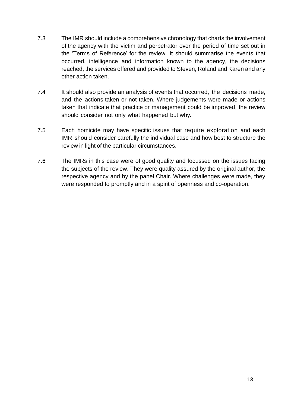- 7.3 The IMR should include a comprehensive chronology that charts the involvement of the agency with the victim and perpetrator over the period of time set out in the 'Terms of Reference' for the review. It should summarise the events that occurred, intelligence and information known to the agency, the decisions reached, the services offered and provided to Steven, Roland and Karen and any other action taken.
- 7.4 It should also provide an analysis of events that occurred, the decisions made, and the actions taken or not taken. Where judgements were made or actions taken that indicate that practice or management could be improved, the review should consider not only what happened but why.
- 7.5 Each homicide may have specific issues that require exploration and each IMR should consider carefully the individual case and how best to structure the review in light of the particular circumstances.
- 7.6 The IMRs in this case were of good quality and focussed on the issues facing the subjects of the review. They were quality assured by the original author, the respective agency and by the panel Chair. Where challenges were made, they were responded to promptly and in a spirit of openness and co-operation.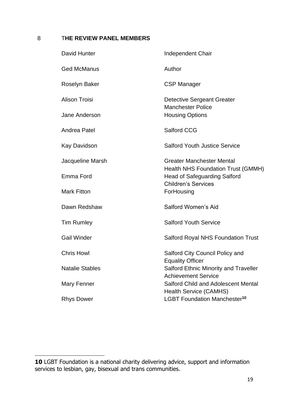### 8 T**HE REVIEW PANEL MEMBERS**

| David Hunter           | <b>Independent Chair</b>                                                         |
|------------------------|----------------------------------------------------------------------------------|
| <b>Ged McManus</b>     | Author                                                                           |
| <b>Roselyn Baker</b>   | <b>CSP Manager</b>                                                               |
| <b>Alison Troisi</b>   | <b>Detective Sergeant Greater</b><br><b>Manchester Police</b>                    |
| Jane Anderson          | <b>Housing Options</b>                                                           |
| Andrea Patel           | <b>Salford CCG</b>                                                               |
| Kay Davidson           | <b>Salford Youth Justice Service</b>                                             |
| Jacqueline Marsh       | <b>Greater Manchester Mental</b>                                                 |
| Emma Ford              | <b>Health NHS Foundation Trust (GMMH)</b><br><b>Head of Safeguarding Salford</b> |
| <b>Mark Fitton</b>     | <b>Children's Services</b><br>ForHousing                                         |
| Dawn Redshaw           | Salford Women's Aid                                                              |
| <b>Tim Rumley</b>      | <b>Salford Youth Service</b>                                                     |
| <b>Gail Winder</b>     | <b>Salford Royal NHS Foundation Trust</b>                                        |
| <b>Chris Howl</b>      | Salford City Council Policy and                                                  |
| <b>Natalie Stables</b> | <b>Equality Officer</b><br><b>Salford Ethnic Minority and Traveller</b>          |
| Mary Fenner            | <b>Achievement Service</b><br><b>Salford Child and Adolescent Mental</b>         |
| <b>Rhys Dower</b>      | <b>Health Service (CAMHS)</b><br>LGBT Foundation Manchester <sup>10</sup>        |

**<sup>10</sup>** LGBT Foundation is a national charity delivering advice, support and information services to lesbian, gay, bisexual and trans communities.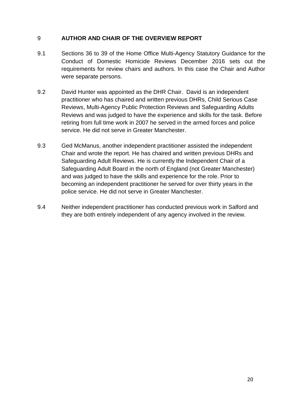#### 9 **AUTHOR AND CHAIR OF THE OVERVIEW REPORT**

- 9.1 Sections 36 to 39 of the Home Office Multi-Agency Statutory Guidance for the Conduct of Domestic Homicide Reviews December 2016 sets out the requirements for review chairs and authors. In this case the Chair and Author were separate persons.
- 9.2 David Hunter was appointed as the DHR Chair. David is an independent practitioner who has chaired and written previous DHRs, Child Serious Case Reviews, Multi-Agency Public Protection Reviews and Safeguarding Adults Reviews and was judged to have the experience and skills for the task. Before retiring from full time work in 2007 he served in the armed forces and police service. He did not serve in Greater Manchester.
- 9.3 Ged McManus, another independent practitioner assisted the independent Chair and wrote the report. He has chaired and written previous DHRs and Safeguarding Adult Reviews. He is currently the Independent Chair of a Safeguarding Adult Board in the north of England (not Greater Manchester) and was judged to have the skills and experience for the role. Prior to becoming an independent practitioner he served for over thirty years in the police service. He did not serve in Greater Manchester.
- 9.4 Neither independent practitioner has conducted previous work in Salford and they are both entirely independent of any agency involved in the review.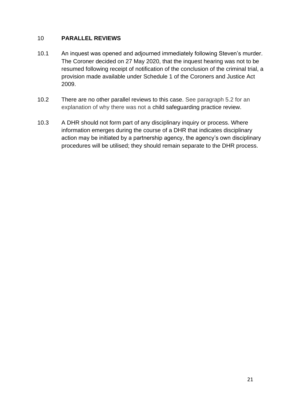#### 10 **PARALLEL REVIEWS**

- 10.1 An inquest was opened and adjourned immediately following Steven's murder. The Coroner decided on 27 May 2020, that the inquest hearing was not to be resumed following receipt of notification of the conclusion of the criminal trial, a provision made available under Schedule 1 of the Coroners and Justice Act 2009.
- 10.2 There are no other parallel reviews to this case. See paragraph 5.2 for an explanation of why there was not a child safeguarding practice review.
- 10.3 A DHR should not form part of any disciplinary inquiry or process. Where information emerges during the course of a DHR that indicates disciplinary action may be initiated by a partnership agency, the agency's own disciplinary procedures will be utilised; they should remain separate to the DHR process.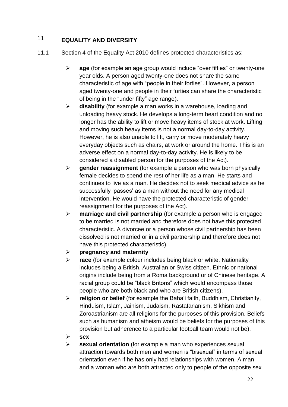### 11 **EQUALITY AND DIVERSITY**

- 11.1 Section 4 of the Equality Act 2010 defines protected characteristics as:
	- ➢ **age** (for example an age group would include "over fifties" or twenty-one year olds. A person aged twenty-one does not share the same characteristic of age with "people in their forties". However, a person aged twenty-one and people in their forties can share the characteristic of being in the "under fifty" age range).
	- ➢ **disability** (for example a man works in a warehouse, loading and unloading heavy stock. He develops a long-term heart condition and no longer has the ability to lift or move heavy items of stock at work. Lifting and moving such heavy items is not a normal day-to-day activity. However, he is also unable to lift, carry or move moderately heavy everyday objects such as chairs, at work or around the home. This is an adverse effect on a normal day-to-day activity. He is likely to be considered a disabled person for the purposes of the Act).
	- ➢ **gender reassignment** (for example a person who was born physically female decides to spend the rest of her life as a man. He starts and continues to live as a man. He decides not to seek medical advice as he successfully 'passes' as a man without the need for any medical intervention. He would have the protected characteristic of gender reassignment for the purposes of the Act).
	- ➢ **marriage and civil partnership** (for example a person who is engaged to be married is not married and therefore does not have this protected characteristic. A divorcee or a person whose civil partnership has been dissolved is not married or in a civil partnership and therefore does not have this protected characteristic).
	- ➢ **pregnancy and maternity**
	- ➢ **race** (for example colour includes being black or white. Nationality includes being a British, Australian or Swiss citizen. Ethnic or national origins include being from a Roma background or of Chinese heritage. A racial group could be "black Britons" which would encompass those people who are both black and who are British citizens).
	- ➢ **religion or belief** (for example the Baha'i faith, Buddhism, Christianity, Hinduism, Islam, Jainism, Judaism, Rastafarianism, Sikhism and Zoroastrianism are all religions for the purposes of this provision. Beliefs such as humanism and atheism would be beliefs for the purposes of this provision but adherence to a particular football team would not be).
	- ➢ **sex**
	- ➢ **sexual orientation** (for example a man who experiences sexual attraction towards both men and women is "bisexual" in terms of sexual orientation even if he has only had relationships with women. A man and a woman who are both attracted only to people of the opposite sex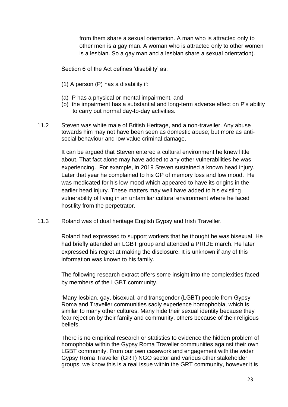from them share a sexual orientation. A man who is attracted only to other men is a gay man. A woman who is attracted only to other women is a lesbian. So a gay man and a lesbian share a sexual orientation).

Section 6 of the Act defines 'disability' as:

- (1) A person (P) has a disability if:
- (a) P has a physical or mental impairment, and
- (b) the impairment has a substantial and long-term adverse effect on P's ability to carry out normal day-to-day activities.
- 11.2 Steven was white male of British Heritage, and a non-traveller. Any abuse towards him may not have been seen as domestic abuse; but more as antisocial behaviour and low value criminal damage.

It can be argued that Steven entered a cultural environment he knew little about. That fact alone may have added to any other vulnerabilities he was experiencing. For example, in 2019 Steven sustained a known head injury. Later that year he complained to his GP of memory loss and low mood. He was medicated for his low mood which appeared to have its origins in the earlier head injury. These matters may well have added to his existing vulnerability of living in an unfamiliar cultural environment where he faced hostility from the perpetrator.

11.3 Roland was of dual heritage English Gypsy and Irish Traveller.

Roland had expressed to support workers that he thought he was bisexual. He had briefly attended an LGBT group and attended a PRIDE march. He later expressed his regret at making the disclosure. It is unknown if any of this information was known to his family.

The following research extract offers some insight into the complexities faced by members of the LGBT community.

'Many lesbian, gay, bisexual, and transgender (LGBT) people from Gypsy Roma and Traveller communities sadly experience homophobia, which is similar to many other cultures. Many hide their sexual identity because they fear rejection by their family and community, others because of their religious beliefs.

There is no empirical research or statistics to evidence the hidden problem of homophobia within the Gypsy Roma Traveller communities against their own LGBT community. From our own casework and engagement with the wider Gypsy Roma Traveller (GRT) NGO sector and various other stakeholder groups, we know this is a real issue within the GRT community, however it is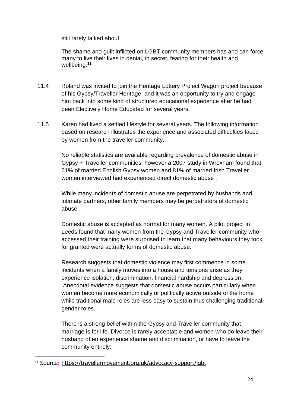still rarely talked about.

The shame and guilt inflicted on LGBT community members has and can force many to live their lives in denial, in secret, fearing for their health and wellbeing.**<sup>11</sup>**

- 11.4 Roland was invited to join the Heritage Lottery Project Wagon project because of his Gypsy/Traveller Heritage, and it was an opportunity to try and engage him back into some kind of structured educational experience after he had been Electively Home Educated for several years.
- 11.5 Karen had lived a settled lifestyle for several years. The following information based on research illustrates the experience and associated difficulties faced by women from the traveller community.

No reliable statistics are available regarding prevalence of domestic abuse in Gypsy + Traveller communities, however a 2007 study in Wrexham found that 61% of married English Gypsy women and 81% of married Irish Traveller women interviewed had experienced direct domestic abuse .

While many incidents of domestic abuse are perpetrated by husbands and intimate partners, other family members may be perpetrators of domestic abuse.

Domestic abuse is accepted as normal for many women. A pilot project in Leeds found that many women from the Gypsy and Traveller community who accessed their training were surprised to learn that many behaviours they took for granted were actually forms of domestic abuse.

Research suggests that domestic violence may first commence in some incidents when a family moves into a house and tensions arise as they experience isolation, discrimination, financial hardship and depression. Anecdotal evidence suggests that domestic abuse occurs particularly when women become more economically or politically active outside of the home while traditional male roles are less easy to sustain thus challenging traditional gender roles.

There is a strong belief within the Gypsy and Traveller community that marriage is for life. Divorce is rarely acceptable and women who do leave their husband often experience shame and discrimination, or have to leave the community entirely:

**<sup>11</sup>** Source:<https://travellermovement.org.uk/advocacy-support/lgbt>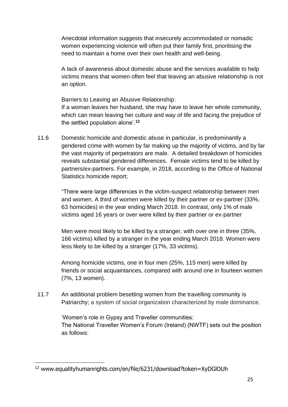Anecdotal information suggests that insecurely accommodated or nomadic women experiencing violence will often put their family first, prioritising the need to maintain a home over their own health and well-being.

A lack of awareness about domestic abuse and the services available to help victims means that women often feel that leaving an abusive relationship is not an option.

Barriers to Leaving an Abusive Relationship:

If a woman leaves her husband, she may have to leave her whole community, which can mean leaving her culture and way of life and facing the prejudice of the settled population alone'.**<sup>12</sup>**

11.6 Domestic homicide and domestic abuse in particular, is predominantly a gendered crime with women by far making up the majority of victims, and by far the vast majority of perpetrators are male. A detailed breakdown of homicides reveals substantial gendered differences. Female victims tend to be killed by partners/ex-partners. For example, in 2018, according to the Office of National Statistics homicide report;

> "There were large differences in the victim-suspect relationship between men and women. A third of women were killed by their partner or ex-partner (33%, 63 homicides) in the year ending March 2018. In contrast, only 1% of male victims aged 16 years or over were killed by their partner or ex-partner

> Men were most likely to be killed by a stranger, with over one in three (35%, 166 victims) killed by a stranger in the year ending March 2018. Women were less likely to be killed by a stranger (17%, 33 victims).

Among homicide victims, one in four men (25%, 115 men) were killed by friends or social acquaintances, compared with around one in fourteen women (7%, 13 women).

11.7 An additional problem besetting women from the travelling community is Patriarchy; a system of social organization characterized by male dominance.

> 'Women's role in Gypsy and Traveller communities: The National Traveller Women's Forum (Ireland) (NWTF) sets out the position as follows:

<sup>12</sup> www.equalityhumanrights.com/en/file/6231/download?token=XyDGlOUh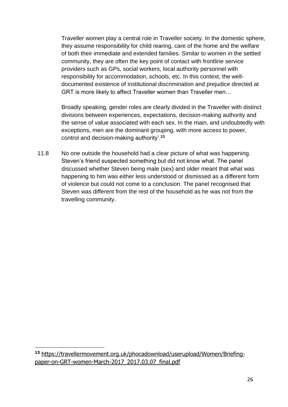Traveller women play a central role in Traveller society. In the domestic sphere, they assume responsibility for child rearing, care of the home and the welfare of both their immediate and extended families. Similar to women in the settled community, they are often the key point of contact with frontline service providers such as GPs, social workers, local authority personnel with responsibility for accommodation, schools, etc. In this context, the welldocumented existence of institutional discrimination and prejudice directed at GRT is more likely to affect Traveller women than Traveller men…

Broadly speaking, gender roles are clearly divided in the Traveller with distinct divisions between experiences, expectations, decision-making authority and the sense of value associated with each sex. In the main, and undoubtedly with exceptions, men are the dominant grouping, with more access to power, control and decision-making authority'.**<sup>13</sup>**

11.8 No one outside the household had a clear picture of what was happening. Steven's friend suspected something but did not know what. The panel discussed whether Steven being male (sex) and older meant that what was happening to him was either less understood or dismissed as a different form of violence but could not come to a conclusion. The panel recognised that Steven was different from the rest of the household as he was not from the travelling community.

**<sup>13</sup>** [https://travellermovement.org.uk/phocadownload/userupload/Women/Briefing](https://travellermovement.org.uk/phocadownload/userupload/Women/Briefing-paper-on-GRT-women-March-2017_2017.03.07_final.pdf)paper-on-GRT-women-March-2017 2017.03.07 final.pdf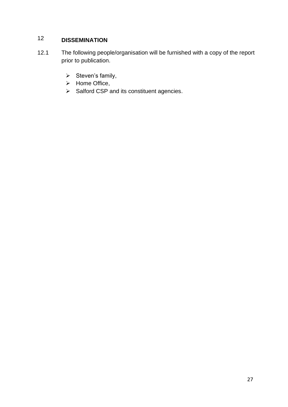## 12 **DISSEMINATION**

- 12.1 The following people/organisation will be furnished with a copy of the report prior to publication.
	- ➢ Steven's family,
	- ➢ Home Office,
	- ➢ Salford CSP and its constituent agencies.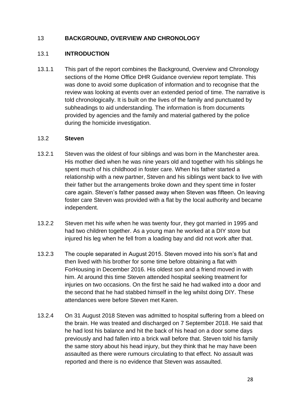#### 13 **BACKGROUND, OVERVIEW AND CHRONOLOGY**

#### 13.1 **INTRODUCTION**

13.1.1 This part of the report combines the Background, Overview and Chronology sections of the Home Office DHR Guidance overview report template. This was done to avoid some duplication of information and to recognise that the review was looking at events over an extended period of time. The narrative is told chronologically. It is built on the lives of the family and punctuated by subheadings to aid understanding. The information is from documents provided by agencies and the family and material gathered by the police during the homicide investigation.

#### 13.2 **Steven**

- 13.2.1 Steven was the oldest of four siblings and was born in the Manchester area. His mother died when he was nine years old and together with his siblings he spent much of his childhood in foster care. When his father started a relationship with a new partner, Steven and his siblings went back to live with their father but the arrangements broke down and they spent time in foster care again. Steven's father passed away when Steven was fifteen. On leaving foster care Steven was provided with a flat by the local authority and became independent.
- 13.2.2 Steven met his wife when he was twenty four, they got married in 1995 and had two children together. As a young man he worked at a DIY store but injured his leg when he fell from a loading bay and did not work after that.
- 13.2.3 The couple separated in August 2015. Steven moved into his son's flat and then lived with his brother for some time before obtaining a flat with ForHousing in December 2016. His oldest son and a friend moved in with him. At around this time Steven attended hospital seeking treatment for injuries on two occasions. On the first he said he had walked into a door and the second that he had stabbed himself in the leg whilst doing DIY. These attendances were before Steven met Karen.
- 13.2.4 On 31 August 2018 Steven was admitted to hospital suffering from a bleed on the brain. He was treated and discharged on 7 September 2018. He said that he had lost his balance and hit the back of his head on a door some days previously and had fallen into a brick wall before that. Steven told his family the same story about his head injury, but they think that he may have been assaulted as there were rumours circulating to that effect. No assault was reported and there is no evidence that Steven was assaulted.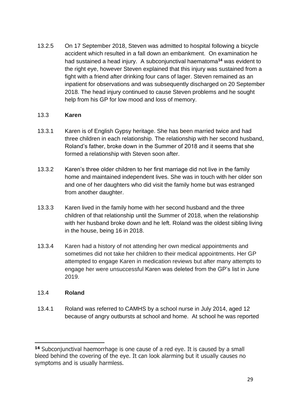13.2.5 On 17 September 2018, Steven was admitted to hospital following a bicycle accident which resulted in a fall down an embankment. On examination he had sustained a head injury. A subconjunctival haematoma**<sup>14</sup>** was evident to the right eye, however Steven explained that this injury was sustained from a fight with a friend after drinking four cans of lager. Steven remained as an inpatient for observations and was subsequently discharged on 20 September 2018. The head injury continued to cause Steven problems and he sought help from his GP for low mood and loss of memory.

#### 13.3 **Karen**

- 13.3.1 Karen is of English Gypsy heritage. She has been married twice and had three children in each relationship. The relationship with her second husband, Roland's father, broke down in the Summer of 2018 and it seems that she formed a relationship with Steven soon after.
- 13.3.2 Karen's three older children to her first marriage did not live in the family home and maintained independent lives. She was in touch with her older son and one of her daughters who did visit the family home but was estranged from another daughter.
- 13.3.3 Karen lived in the family home with her second husband and the three children of that relationship until the Summer of 2018, when the relationship with her husband broke down and he left. Roland was the oldest sibling living in the house, being 16 in 2018.
- 13.3.4 Karen had a history of not attending her own medical appointments and sometimes did not take her children to their medical appointments. Her GP attempted to engage Karen in medication reviews but after many attempts to engage her were unsuccessful Karen was deleted from the GP's list in June 2019.

#### 13.4 **Roland**

13.4.1 Roland was referred to CAMHS by a school nurse in July 2014, aged 12 because of angry outbursts at school and home. At school he was reported

**<sup>14</sup>** Subconjunctival haemorrhage is one cause of a red eye. It is caused by a small bleed behind the covering of the eye. It can look alarming but it usually causes no symptoms and is usually harmless.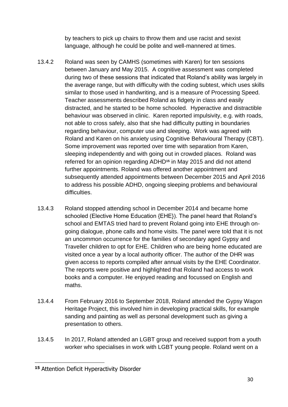by teachers to pick up chairs to throw them and use racist and sexist language, although he could be polite and well-mannered at times.

- 13.4.2 Roland was seen by CAMHS (sometimes with Karen) for ten sessions between January and May 2015. A cognitive assessment was completed during two of these sessions that indicated that Roland's ability was largely in the average range, but with difficulty with the coding subtest, which uses skills similar to those used in handwriting, and is a measure of Processing Speed. Teacher assessments described Roland as fidgety in class and easily distracted, and he started to be home schooled. Hyperactive and distractible behaviour was observed in clinic. Karen reported impulsivity, e.g. with roads, not able to cross safely, also that she had difficulty putting in boundaries regarding behaviour, computer use and sleeping. Work was agreed with Roland and Karen on his anxiety using Cognitive Behavioural Therapy (CBT). Some improvement was reported over time with separation from Karen, sleeping independently and with going out in crowded places. Roland was referred for an opinion regarding ADHD**<sup>15</sup>** in May 2015 and did not attend further appointments. Roland was offered another appointment and subsequently attended appointments between December 2015 and April 2016 to address his possible ADHD, ongoing sleeping problems and behavioural difficulties.
- 13.4.3 Roland stopped attending school in December 2014 and became home schooled (Elective Home Education {EHE}). The panel heard that Roland's school and EMTAS tried hard to prevent Roland going into EHE through ongoing dialogue, phone calls and home visits. The panel were told that it is not an uncommon occurrence for the families of secondary aged Gypsy and Traveller children to opt for EHE. Children who are being home educated are visited once a year by a local authority officer. The author of the DHR was given access to reports compiled after annual visits by the EHE Coordinator. The reports were positive and highlighted that Roland had access to work books and a computer. He enjoyed reading and focussed on English and maths.
- 13.4.4 From February 2016 to September 2018, Roland attended the Gypsy Wagon Heritage Project, this involved him in developing practical skills, for example sanding and painting as well as personal development such as giving a presentation to others.
- 13.4.5 In 2017, Roland attended an LGBT group and received support from a youth worker who specialises in work with LGBT young people. Roland went on a

**<sup>15</sup>** Attention Deficit Hyperactivity Disorder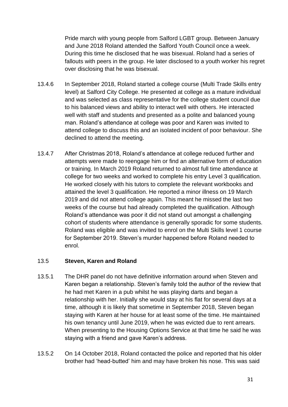Pride march with young people from Salford LGBT group. Between January and June 2018 Roland attended the Salford Youth Council once a week. During this time he disclosed that he was bisexual. Roland had a series of fallouts with peers in the group. He later disclosed to a youth worker his regret over disclosing that he was bisexual.

- 13.4.6 In September 2018, Roland started a college course (Multi Trade Skills entry level) at Salford City College. He presented at college as a mature individual and was selected as class representative for the college student council due to his balanced views and ability to interact well with others. He interacted well with staff and students and presented as a polite and balanced young man. Roland's attendance at college was poor and Karen was invited to attend college to discuss this and an isolated incident of poor behaviour. She declined to attend the meeting.
- 13.4.7 After Christmas 2018, Roland's attendance at college reduced further and attempts were made to reengage him or find an alternative form of education or training. In March 2019 Roland returned to almost full time attendance at college for two weeks and worked to complete his entry Level 3 qualification. He worked closely with his tutors to complete the relevant workbooks and attained the level 3 qualification. He reported a minor illness on 19 March 2019 and did not attend college again. This meant he missed the last two weeks of the course but had already completed the qualification. Although Roland's attendance was poor it did not stand out amongst a challenging cohort of students where attendance is generally sporadic for some students. Roland was eligible and was invited to enrol on the Multi Skills level 1 course for September 2019. Steven's murder happened before Roland needed to enrol.

#### 13.5 **Steven, Karen and Roland**

- 13.5.1 The DHR panel do not have definitive information around when Steven and Karen began a relationship. Steven's family told the author of the review that he had met Karen in a pub whilst he was playing darts and began a relationship with her. Initially she would stay at his flat for several days at a time, although it is likely that sometime in September 2018, Steven began staying with Karen at her house for at least some of the time. He maintained his own tenancy until June 2019, when he was evicted due to rent arrears. When presenting to the Housing Options Service at that time he said he was staying with a friend and gave Karen's address.
- 13.5.2 On 14 October 2018, Roland contacted the police and reported that his older brother had 'head-butted' him and may have broken his nose. This was said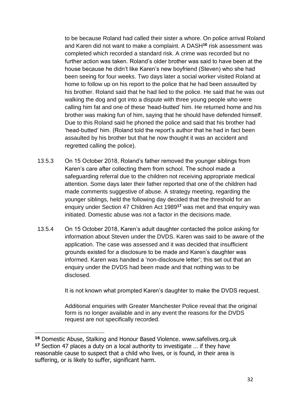to be because Roland had called their sister a whore. On police arrival Roland and Karen did not want to make a complaint. A DASH**<sup>16</sup>** risk assessment was completed which recorded a standard risk. A crime was recorded but no further action was taken. Roland's older brother was said to have been at the house because he didn't like Karen's new boyfriend (Steven) who she had been seeing for four weeks. Two days later a social worker visited Roland at home to follow up on his report to the police that he had been assaulted by his brother. Roland said that he had lied to the police. He said that he was out walking the dog and got into a dispute with three young people who were calling him fat and one of these 'head-butted' him. He returned home and his brother was making fun of him, saying that he should have defended himself. Due to this Roland said he phoned the police and said that his brother had 'head-butted' him. (Roland told the report's author that he had in fact been assaulted by his brother but that he now thought it was an accident and regretted calling the police).

- 13.5.3 On 15 October 2018, Roland's father removed the younger siblings from Karen's care after collecting them from school. The school made a safeguarding referral due to the children not receiving appropriate medical attention. Some days later their father reported that one of the children had made comments suggestive of abuse. A strategy meeting, regarding the younger siblings, held the following day decided that the threshold for an enquiry under Section 47 Children Act 1989**<sup>17</sup>** was met and that enquiry was initiated. Domestic abuse was not a factor in the decisions made.
- 13.5.4 On 15 October 2018, Karen's adult daughter contacted the police asking for information about Steven under the DVDS. Karen was said to be aware of the application. The case was assessed and it was decided that insufficient grounds existed for a disclosure to be made and Karen's daughter was informed. Karen was handed a 'non-disclosure letter'; this set out that an enquiry under the DVDS had been made and that nothing was to be disclosed.

It is not known what prompted Karen's daughter to make the DVDS request.

Additional enquiries with Greater Manchester Police reveal that the original form is no longer available and in any event the reasons for the DVDS request are not specifically recorded.

**<sup>16</sup>** Domestic Abuse, Stalking and Honour Based Violence. www.safelives.org.uk **<sup>17</sup>** Section 47 places a duty on a local authority to investigate … if they have reasonable cause to suspect that a child who lives, or is found, in their area is suffering, or is likely to suffer, significant harm.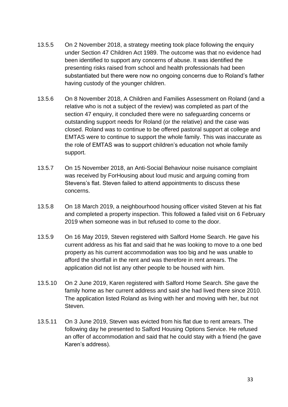- 13.5.5 On 2 November 2018, a strategy meeting took place following the enquiry under Section 47 Children Act 1989. The outcome was that no evidence had been identified to support any concerns of abuse. It was identified the presenting risks raised from school and health professionals had been substantiated but there were now no ongoing concerns due to Roland's father having custody of the younger children.
- 13.5.6 On 8 November 2018, A Children and Families Assessment on Roland (and a relative who is not a subject of the review) was completed as part of the section 47 enquiry, it concluded there were no safeguarding concerns or outstanding support needs for Roland (or the relative) and the case was closed. Roland was to continue to be offered pastoral support at college and EMTAS were to continue to support the whole family. This was inaccurate as the role of EMTAS was to support children's education not whole family support.
- 13.5.7 On 15 November 2018, an Anti-Social Behaviour noise nuisance complaint was received by ForHousing about loud music and arguing coming from Stevens's flat. Steven failed to attend appointments to discuss these concerns.
- 13.5.8 On 18 March 2019, a neighbourhood housing officer visited Steven at his flat and completed a property inspection. This followed a failed visit on 6 February 2019 when someone was in but refused to come to the door.
- 13.5.9 On 16 May 2019, Steven registered with Salford Home Search. He gave his current address as his flat and said that he was looking to move to a one bed property as his current accommodation was too big and he was unable to afford the shortfall in the rent and was therefore in rent arrears. The application did not list any other people to be housed with him.
- 13.5.10 On 2 June 2019, Karen registered with Salford Home Search. She gave the family home as her current address and said she had lived there since 2010. The application listed Roland as living with her and moving with her, but not Steven.
- 13.5.11 On 3 June 2019, Steven was evicted from his flat due to rent arrears. The following day he presented to Salford Housing Options Service. He refused an offer of accommodation and said that he could stay with a friend (he gave Karen's address).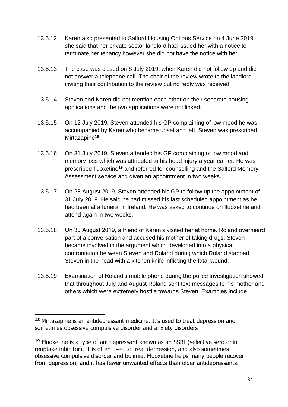- 13.5.12 Karen also presented to Salford Housing Options Service on 4 June 2019, she said that her private sector landlord had issued her with a notice to terminate her tenancy however she did not have the notice with her.
- 13.5.13 The case was closed on 8 July 2019, when Karen did not follow up and did not answer a telephone call. The chair of the review wrote to the landlord inviting their contribution to the review but no reply was received.
- 13.5.14 Steven and Karen did not mention each other on their separate housing applications and the two applications were not linked.
- 13.5.15 On 12 July 2019, Steven attended his GP complaining of low mood he was accompanied by Karen who became upset and left. Steven was prescribed Mirtazapine**<sup>18</sup>** .
- 13.5.16 On 31 July 2019, Steven attended his GP complaining of low mood and memory loss which was attributed to his head injury a year earlier. He was prescribed fluoxetine**<sup>19</sup>** and referred for counselling and the Salford Memory Assessment service and given an appointment in two weeks.
- 13.5.17 On 28 August 2019, Steven attended his GP to follow up the appointment of 31 July 2019. He said he had missed his last scheduled appointment as he had been at a funeral in Ireland. He was asked to continue on fluoxetine and attend again in two weeks.
- 13.5.18 On 30 August 2019, a friend of Karen's visited her at home. Roland overheard part of a conversation and accused his mother of taking drugs. Steven became involved in the argument which developed into a physical confrontation between Steven and Roland during which Roland stabbed Steven in the head with a kitchen knife inflicting the fatal wound.
- 13.5.19 Examination of Roland's mobile phone during the police investigation showed that throughout July and August Roland sent text messages to his mother and others which were extremely hostile towards Steven. Examples include:

**<sup>18</sup>** Mirtazapine is an antidepressant medicine. It's used to treat depression and sometimes obsessive compulsive disorder and anxiety disorders

**<sup>19</sup>** Fluoxetine is a type of antidepressant known as an SSRI (selective serotonin reuptake inhibitor). It is often used to treat depression, and also sometimes obsessive compulsive disorder and bulimia. Fluoxetine helps many people recover from depression, and it has fewer unwanted effects than older antidepressants.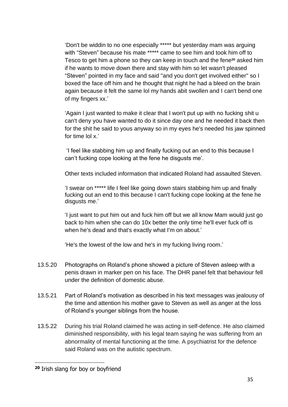'Don't be widdin to no one especially \*\*\*\*\* but yesterday mam was arguing with "Steven" because his mate \*\*\*\*\* came to see him and took him off to Tesco to get him a phone so they can keep in touch and the fene**<sup>20</sup>** asked him if he wants to move down there and stay with him so let wasn't pleased "Steven" pointed in my face and said ''and you don't get involved either'' so I boxed the face off him and he thought that night he had a bleed on the brain again because it felt the same lol my hands abit swollen and I can't bend one of my fingers xx.'

'Again I just wanted to make it clear that I won't put up with no fucking shit u can't deny you have wanted to do it since day one and he needed it back then for the shit he said to yous anyway so in my eyes he's needed his jaw spinned for time lol x.'

'I feel like stabbing him up and finally fucking out an end to this because I can't fucking cope looking at the fene he disgusts me'.

Other texts included information that indicated Roland had assaulted Steven.

'I swear on \*\*\*\*\* life I feel like going down stairs stabbing him up and finally fucking out an end to this because I can't fucking cope looking at the fene he disgusts me.'

'I just want to put him out and fuck him off but we all know Mam would just go back to him when she can do 10x better the only time he'll ever fuck off is when he's dead and that's exactly what I'm on about.'

'He's the lowest of the low and he's in my fucking living room.'

- 13.5.20 Photographs on Roland's phone showed a picture of Steven asleep with a penis drawn in marker pen on his face. The DHR panel felt that behaviour fell under the definition of domestic abuse.
- 13.5.21 Part of Roland's motivation as described in his text messages was jealousy of the time and attention his mother gave to Steven as well as anger at the loss of Roland's younger siblings from the house.
- 13.5.22 During his trial Roland claimed he was acting in self-defence. He also claimed diminished responsibility, with his legal team saying he was suffering from an abnormality of mental functioning at the time. A psychiatrist for the defence said Roland was on the autistic spectrum.

**<sup>20</sup>** Irish slang for boy or boyfriend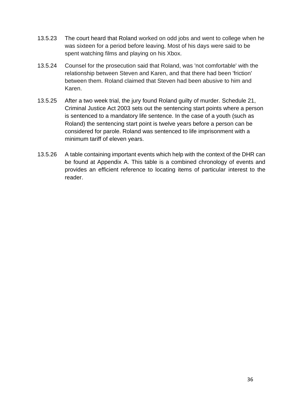- 13.5.23 The court heard that Roland worked on odd jobs and went to college when he was sixteen for a period before leaving. Most of his days were said to be spent watching films and playing on his Xbox.
- 13.5.24 Counsel for the prosecution said that Roland, was 'not comfortable' with the relationship between Steven and Karen, and that there had been 'friction' between them. Roland claimed that Steven had been abusive to him and Karen.
- 13.5.25 After a two week trial, the jury found Roland guilty of murder. Schedule 21, Criminal Justice Act 2003 sets out the sentencing start points where a person is sentenced to a mandatory life sentence. In the case of a youth (such as Roland) the sentencing start point is twelve years before a person can be considered for parole. Roland was sentenced to life imprisonment with a minimum tariff of eleven years.
- 13.5.26 A table containing important events which help with the context of the DHR can be found at Appendix A. This table is a combined chronology of events and provides an efficient reference to locating items of particular interest to the reader.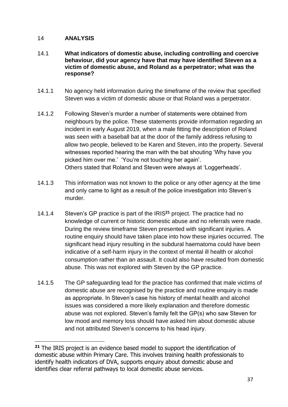#### 14 **ANALYSIS**

#### 14.1 **What indicators of domestic abuse, including controlling and coercive behaviour, did your agency have that may have identified Steven as a victim of domestic abuse, and Roland as a perpetrator; what was the response?**

- 14.1.1 No agency held information during the timeframe of the review that specified Steven was a victim of domestic abuse or that Roland was a perpetrator.
- 14.1.2 Following Steven's murder a number of statements were obtained from neighbours by the police. These statements provide information regarding an incident in early August 2019, when a male fitting the description of Roland was seen with a baseball bat at the door of the family address refusing to allow two people, believed to be Karen and Steven, into the property. Several witnesses reported hearing the man with the bat shouting 'Why have you picked him over me.' 'You're not touching her again'. Others stated that Roland and Steven were always at 'Loggerheads'.
- 14.1.3 This information was not known to the police or any other agency at the time and only came to light as a result of the police investigation into Steven's murder.
- 14.1.4 Steven's GP practice is part of the IRIS**<sup>21</sup>** project. The practice had no knowledge of current or historic domestic abuse and no referrals were made. During the review timeframe Steven presented with significant injuries. A routine enquiry should have taken place into how these injuries occurred. The significant head injury resulting in the subdural haematoma could have been indicative of a self-harm injury in the context of mental ill health or alcohol consumption rather than an assault. It could also have resulted from domestic abuse. This was not explored with Steven by the GP practice.
- 14.1.5 The GP safeguarding lead for the practice has confirmed that male victims of domestic abuse are recognised by the practice and routine enquiry is made as appropriate. In Steven's case his history of mental health and alcohol issues was considered a more likely explanation and therefore domestic abuse was not explored. Steven's family felt the GP(s) who saw Steven for low mood and memory loss should have asked him about domestic abuse and not attributed Steven's concerns to his head injury.

**<sup>21</sup>** The IRIS project is an evidence based model to support the identification of domestic abuse within Primary Care. This involves training health professionals to identify health indicators of DVA, supports enquiry about domestic abuse and identifies clear referral pathways to local domestic abuse services.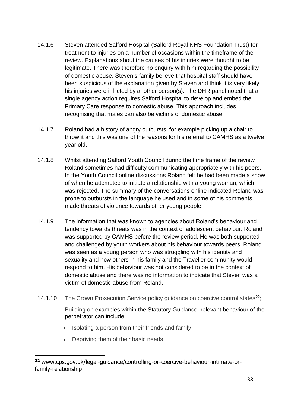- 14.1.6 Steven attended Salford Hospital (Salford Royal NHS Foundation Trust) for treatment to injuries on a number of occasions within the timeframe of the review. Explanations about the causes of his injuries were thought to be legitimate. There was therefore no enquiry with him regarding the possibility of domestic abuse. Steven's family believe that hospital staff should have been suspicious of the explanation given by Steven and think it is very likely his injuries were inflicted by another person(s). The DHR panel noted that a single agency action requires Salford Hospital to develop and embed the Primary Care response to domestic abuse. This approach includes recognising that males can also be victims of domestic abuse.
- 14.1.7 Roland had a history of angry outbursts, for example picking up a chair to throw it and this was one of the reasons for his referral to CAMHS as a twelve year old.
- 14.1.8 Whilst attending Salford Youth Council during the time frame of the review Roland sometimes had difficulty communicating appropriately with his peers. In the Youth Council online discussions Roland felt he had been made a show of when he attempted to initiate a relationship with a young woman, which was rejected. The summary of the conversations online indicated Roland was prone to outbursts in the language he used and in some of his comments made threats of violence towards other young people.
- 14.1.9 The information that was known to agencies about Roland's behaviour and tendency towards threats was in the context of adolescent behaviour. Roland was supported by CAMHS before the review period. He was both supported and challenged by youth workers about his behaviour towards peers. Roland was seen as a young person who was struggling with his identity and sexuality and how others in his family and the Traveller community would respond to him. His behaviour was not considered to be in the context of domestic abuse and there was no information to indicate that Steven was a victim of domestic abuse from Roland.
- 14.1.10 The Crown Prosecution Service policy guidance on coercive control states**<sup>22</sup>**;

Building on examples within the Statutory Guidance, relevant behaviour of the perpetrator can include:

- Isolating a person from their friends and family
- Depriving them of their basic needs

**<sup>22</sup>** www.cps.gov.uk/legal-guidance/controlling-or-coercive-behaviour-intimate-orfamily-relationship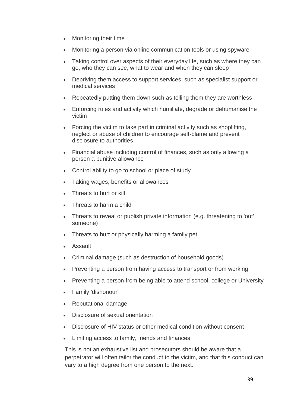- Monitoring their time
- Monitoring a person via online communication tools or using spyware
- Taking control over aspects of their everyday life, such as where they can go, who they can see, what to wear and when they can sleep
- Depriving them access to support services, such as specialist support or medical services
- Repeatedly putting them down such as telling them they are worthless
- Enforcing rules and activity which humiliate, degrade or dehumanise the victim
- Forcing the victim to take part in criminal activity such as shoplifting. neglect or abuse of children to encourage self-blame and prevent disclosure to authorities
- Financial abuse including control of finances, such as only allowing a person a punitive allowance
- Control ability to go to school or place of study
- Taking wages, benefits or allowances
- Threats to hurt or kill
- Threats to harm a child
- Threats to reveal or publish private information (e.g. threatening to 'out' someone)
- Threats to hurt or physically harming a family pet
- Assault
- Criminal damage (such as destruction of household goods)
- Preventing a person from having access to transport or from working
- Preventing a person from being able to attend school, college or University
- Family 'dishonour'
- Reputational damage
- Disclosure of sexual orientation
- Disclosure of HIV status or other medical condition without consent
- Limiting access to family, friends and finances

This is not an exhaustive list and prosecutors should be aware that a perpetrator will often tailor the conduct to the victim, and that this conduct can vary to a high degree from one person to the next.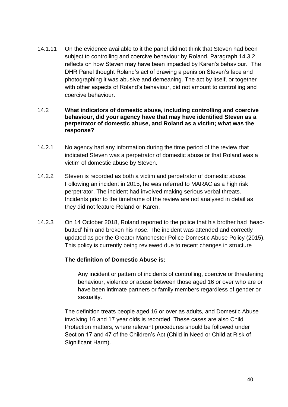14.1.11 On the evidence available to it the panel did not think that Steven had been subject to controlling and coercive behaviour by Roland. Paragraph 14.3.2 reflects on how Steven may have been impacted by Karen's behaviour. The DHR Panel thought Roland's act of drawing a penis on Steven's face and photographing it was abusive and demeaning. The act by itself, or together with other aspects of Roland's behaviour, did not amount to controlling and coercive behaviour.

#### 14.2 **What indicators of domestic abuse, including controlling and coercive behaviour, did your agency have that may have identified Steven as a perpetrator of domestic abuse, and Roland as a victim; what was the response?**

- 14.2.1 No agency had any information during the time period of the review that indicated Steven was a perpetrator of domestic abuse or that Roland was a victim of domestic abuse by Steven.
- 14.2.2 Steven is recorded as both a victim and perpetrator of domestic abuse. Following an incident in 2015, he was referred to MARAC as a high risk perpetrator. The incident had involved making serious verbal threats. Incidents prior to the timeframe of the review are not analysed in detail as they did not feature Roland or Karen.
- 14.2.3 On 14 October 2018, Roland reported to the police that his brother had 'headbutted' him and broken his nose. The incident was attended and correctly updated as per the Greater Manchester Police Domestic Abuse Policy (2015). This policy is currently being reviewed due to recent changes in structure

#### **The definition of Domestic Abuse is:**

Any incident or pattern of incidents of controlling, coercive or threatening behaviour, violence or abuse between those aged 16 or over who are or have been intimate partners or family members regardless of gender or sexuality.

The definition treats people aged 16 or over as adults, and Domestic Abuse involving 16 and 17 year olds is recorded. These cases are also Child Protection matters, where relevant procedures should be followed under Section 17 and 47 of the Children's Act (Child in Need or Child at Risk of Significant Harm).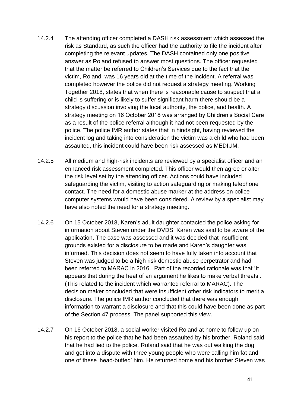- 14.2.4 The attending officer completed a DASH risk assessment which assessed the risk as Standard, as such the officer had the authority to file the incident after completing the relevant updates. The DASH contained only one positive answer as Roland refused to answer most questions. The officer requested that the matter be referred to Children's Services due to the fact that the victim, Roland, was 16 years old at the time of the incident. A referral was completed however the police did not request a strategy meeting. Working Together 2018, states that when there is reasonable cause to suspect that a child is suffering or is likely to suffer significant harm there should be a strategy discussion involving the local authority, the police, and health. A strategy meeting on 16 October 2018 was arranged by Children's Social Care as a result of the police referral although it had not been requested by the police. The police IMR author states that in hindsight, having reviewed the incident log and taking into consideration the victim was a child who had been assaulted, this incident could have been risk assessed as MEDIUM.
- 14.2.5 All medium and high-risk incidents are reviewed by a specialist officer and an enhanced risk assessment completed. This officer would then agree or alter the risk level set by the attending officer. Actions could have included safeguarding the victim, visiting to action safeguarding or making telephone contact. The need for a domestic abuse marker at the address on police computer systems would have been considered. A review by a specialist may have also noted the need for a strategy meeting.
- 14.2.6 On 15 October 2018, Karen's adult daughter contacted the police asking for information about Steven under the DVDS. Karen was said to be aware of the application. The case was assessed and it was decided that insufficient grounds existed for a disclosure to be made and Karen's daughter was informed. This decision does not seem to have fully taken into account that Steven was judged to be a high risk domestic abuse perpetrator and had been referred to MARAC in 2016. Part of the recorded rationale was that 'It appears that during the heat of an argument he likes to make verbal threats'. (This related to the incident which warranted referral to MARAC). The decision maker concluded that were insufficient other risk indicators to merit a disclosure. The police IMR author concluded that there was enough information to warrant a disclosure and that this could have been done as part of the Section 47 process. The panel supported this view.
- 14.2.7 On 16 October 2018, a social worker visited Roland at home to follow up on his report to the police that he had been assaulted by his brother. Roland said that he had lied to the police. Roland said that he was out walking the dog and got into a dispute with three young people who were calling him fat and one of these 'head-butted' him. He returned home and his brother Steven was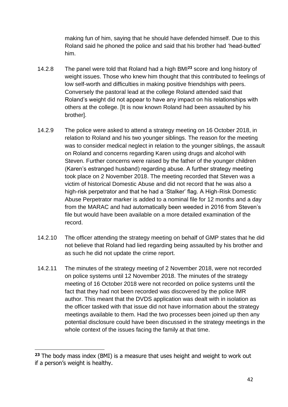making fun of him, saying that he should have defended himself. Due to this Roland said he phoned the police and said that his brother had 'head-butted' him.

- 14.2.8 The panel were told that Roland had a high BMI**<sup>23</sup>** score and long history of weight issues. Those who knew him thought that this contributed to feelings of low self-worth and difficulties in making positive friendships with peers. Conversely the pastoral lead at the college Roland attended said that Roland's weight did not appear to have any impact on his relationships with others at the college. [It is now known Roland had been assaulted by his brother].
- 14.2.9 The police were asked to attend a strategy meeting on 16 October 2018, in relation to Roland and his two younger siblings. The reason for the meeting was to consider medical neglect in relation to the younger siblings, the assault on Roland and concerns regarding Karen using drugs and alcohol with Steven. Further concerns were raised by the father of the younger children (Karen's estranged husband) regarding abuse. A further strategy meeting took place on 2 November 2018. The meeting recorded that Steven was a victim of historical Domestic Abuse and did not record that he was also a high-risk perpetrator and that he had a 'Stalker' flag. A High-Risk Domestic Abuse Perpetrator marker is added to a nominal file for 12 months and a day from the MARAC and had automatically been weeded in 2016 from Steven's file but would have been available on a more detailed examination of the record.
- 14.2.10 The officer attending the strategy meeting on behalf of GMP states that he did not believe that Roland had lied regarding being assaulted by his brother and as such he did not update the crime report.
- 14.2.11 The minutes of the strategy meeting of 2 November 2018, were not recorded on police systems until 12 November 2018. The minutes of the strategy meeting of 16 October 2018 were not recorded on police systems until the fact that they had not been recorded was discovered by the police IMR author. This meant that the DVDS application was dealt with in isolation as the officer tasked with that issue did not have information about the strategy meetings available to them. Had the two processes been joined up then any potential disclosure could have been discussed in the strategy meetings in the whole context of the issues facing the family at that time.

**<sup>23</sup>** The body mass index (BMI) is a measure that uses height and weight to work out if a person's weight is healthy.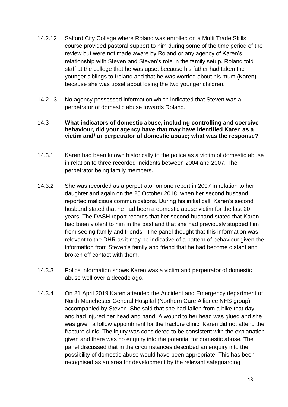- 14.2.12 Salford City College where Roland was enrolled on a Multi Trade Skills course provided pastoral support to him during some of the time period of the review but were not made aware by Roland or any agency of Karen's relationship with Steven and Steven's role in the family setup. Roland told staff at the college that he was upset because his father had taken the younger siblings to Ireland and that he was worried about his mum (Karen) because she was upset about losing the two younger children.
- 14.2.13 No agency possessed information which indicated that Steven was a perpetrator of domestic abuse towards Roland.

#### 14.3 **What indicators of domestic abuse, including controlling and coercive behaviour, did your agency have that may have identified Karen as a victim and/ or perpetrator of domestic abuse; what was the response?**

- 14.3.1 Karen had been known historically to the police as a victim of domestic abuse in relation to three recorded incidents between 2004 and 2007. The perpetrator being family members.
- 14.3.2 She was recorded as a perpetrator on one report in 2007 in relation to her daughter and again on the 25 October 2018, when her second husband reported malicious communications. During his initial call, Karen's second husband stated that he had been a domestic abuse victim for the last 20 years. The DASH report records that her second husband stated that Karen had been violent to him in the past and that she had previously stopped him from seeing family and friends. The panel thought that this information was relevant to the DHR as it may be indicative of a pattern of behaviour given the information from Steven's family and friend that he had become distant and broken off contact with them.
- 14.3.3 Police information shows Karen was a victim and perpetrator of domestic abuse well over a decade ago.
- 14.3.4 On 21 April 2019 Karen attended the Accident and Emergency department of North Manchester General Hospital (Northern Care Alliance NHS group) accompanied by Steven. She said that she had fallen from a bike that day and had injured her head and hand. A wound to her head was glued and she was given a follow appointment for the fracture clinic. Karen did not attend the fracture clinic. The injury was considered to be consistent with the explanation given and there was no enquiry into the potential for domestic abuse. The panel discussed that in the circumstances described an enquiry into the possibility of domestic abuse would have been appropriate. This has been recognised as an area for development by the relevant safeguarding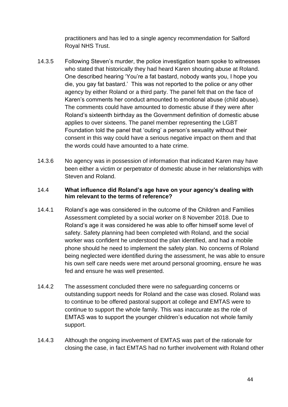practitioners and has led to a single agency recommendation for Salford Royal NHS Trust.

- 14.3.5 Following Steven's murder, the police investigation team spoke to witnesses who stated that historically they had heard Karen shouting abuse at Roland. One described hearing 'You're a fat bastard, nobody wants you, I hope you die, you gay fat bastard.' This was not reported to the police or any other agency by either Roland or a third party. The panel felt that on the face of Karen's comments her conduct amounted to emotional abuse (child abuse). The comments could have amounted to domestic abuse if they were after Roland's sixteenth birthday as the Government definition of domestic abuse applies to over sixteens. The panel member representing the LGBT Foundation told the panel that 'outing' a person's sexuality without their consent in this way could have a serious negative impact on them and that the words could have amounted to a hate crime.
- 14.3.6 No agency was in possession of information that indicated Karen may have been either a victim or perpetrator of domestic abuse in her relationships with Steven and Roland.

#### 14.4 **What influence did Roland's age have on your agency's dealing with him relevant to the terms of reference?**

- 14.4.1 Roland's age was considered in the outcome of the Children and Families Assessment completed by a social worker on 8 November 2018. Due to Roland's age it was considered he was able to offer himself some level of safety. Safety planning had been completed with Roland, and the social worker was confident he understood the plan identified, and had a mobile phone should he need to implement the safety plan. No concerns of Roland being neglected were identified during the assessment, he was able to ensure his own self care needs were met around personal grooming, ensure he was fed and ensure he was well presented.
- 14.4.2 The assessment concluded there were no safeguarding concerns or outstanding support needs for Roland and the case was closed. Roland was to continue to be offered pastoral support at college and EMTAS were to continue to support the whole family. This was inaccurate as the role of EMTAS was to support the younger children's education not whole family support.
- 14.4.3 Although the ongoing involvement of EMTAS was part of the rationale for closing the case, in fact EMTAS had no further involvement with Roland other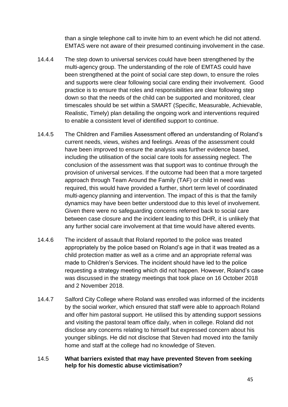than a single telephone call to invite him to an event which he did not attend. EMTAS were not aware of their presumed continuing involvement in the case.

- 14.4.4 The step down to universal services could have been strengthened by the multi-agency group. The understanding of the role of EMTAS could have been strengthened at the point of social care step down, to ensure the roles and supports were clear following social care ending their involvement. Good practice is to ensure that roles and responsibilities are clear following step down so that the needs of the child can be supported and monitored, clear timescales should be set within a SMART (Specific, Measurable, Achievable, Realistic, Timely) plan detailing the ongoing work and interventions required to enable a consistent level of identified support to continue.
- 14.4.5 The Children and Families Assessment offered an understanding of Roland's current needs, views, wishes and feelings. Areas of the assessment could have been improved to ensure the analysis was further evidence based, including the utilisation of the social care tools for assessing neglect. The conclusion of the assessment was that support was to continue through the provision of universal services. If the outcome had been that a more targeted approach through Team Around the Family (TAF) or child in need was required, this would have provided a further, short term level of coordinated multi-agency planning and intervention. The impact of this is that the family dynamics may have been better understood due to this level of involvement. Given there were no safeguarding concerns referred back to social care between case closure and the incident leading to this DHR, it is unlikely that any further social care involvement at that time would have altered events.
- 14.4.6 The incident of assault that Roland reported to the police was treated appropriately by the police based on Roland's age in that it was treated as a child protection matter as well as a crime and an appropriate referral was made to Children's Services. The incident should have led to the police requesting a strategy meeting which did not happen. However, Roland's case was discussed in the strategy meetings that took place on 16 October 2018 and 2 November 2018.
- 14.4.7 Salford City College where Roland was enrolled was informed of the incidents by the social worker, which ensured that staff were able to approach Roland and offer him pastoral support. He utilised this by attending support sessions and visiting the pastoral team office daily, when in college. Roland did not disclose any concerns relating to himself but expressed concern about his younger siblings. He did not disclose that Steven had moved into the family home and staff at the college had no knowledge of Steven.
- 14.5 **What barriers existed that may have prevented Steven from seeking help for his domestic abuse victimisation?**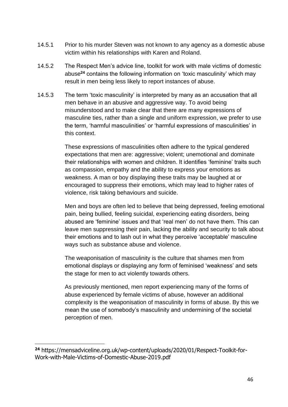- 14.5.1 Prior to his murder Steven was not known to any agency as a domestic abuse victim within his relationships with Karen and Roland.
- 14.5.2 The Respect Men's advice line, toolkit for work with male victims of domestic abuse**<sup>24</sup>** contains the following information on 'toxic masculinity' which may result in men being less likely to report instances of abuse.
- 14.5.3 The term 'toxic masculinity' is interpreted by many as an accusation that all men behave in an abusive and aggressive way. To avoid being misunderstood and to make clear that there are many expressions of masculine ties, rather than a single and uniform expression, we prefer to use the term, 'harmful masculinities' or 'harmful expressions of masculinities' in this context.

These expressions of masculinities often adhere to the typical gendered expectations that men are: aggressive; violent; unemotional and dominate their relationships with women and children. It identifies 'feminine' traits such as compassion, empathy and the ability to express your emotions as weakness. A man or boy displaying these traits may be laughed at or encouraged to suppress their emotions, which may lead to higher rates of violence, risk taking behaviours and suicide.

Men and boys are often led to believe that being depressed, feeling emotional pain, being bullied, feeling suicidal, experiencing eating disorders, being abused are 'feminine' issues and that 'real men' do not have them. This can leave men suppressing their pain, lacking the ability and security to talk about their emotions and to lash out in what they perceive 'acceptable' masculine ways such as substance abuse and violence.

The weaponisation of masculinity is the culture that shames men from emotional displays or displaying any form of feminised 'weakness' and sets the stage for men to act violently towards others.

As previously mentioned, men report experiencing many of the forms of abuse experienced by female victims of abuse, however an additional complexity is the weaponisation of masculinity in forms of abuse. By this we mean the use of somebody's masculinity and undermining of the societal perception of men.

**<sup>24</sup>** [https://mensadviceline.org.uk/wp-content/uploads/2020/01/Respect-Toolkit-for-](https://mensadviceline.org.uk/wp-content/uploads/2020/01/Respect-Toolkit-for-Work-with-Male-Victims-of-Domestic-Abuse-2019.pdf)[Work-with-Male-Victims-of-Domestic-Abuse-2019.pdf](https://mensadviceline.org.uk/wp-content/uploads/2020/01/Respect-Toolkit-for-Work-with-Male-Victims-of-Domestic-Abuse-2019.pdf)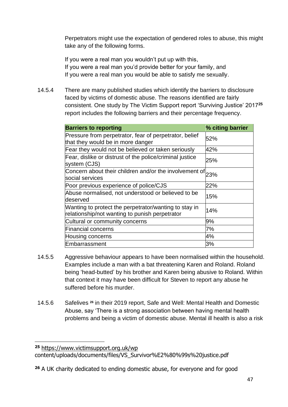Perpetrators might use the expectation of gendered roles to abuse, this might take any of the following forms.

If you were a real man you wouldn't put up with this, If you were a real man you'd provide better for your family, and If you were a real man you would be able to satisfy me sexually.

14.5.4 There are many published studies which identify the barriers to disclosure faced by victims of domestic abuse. The reasons identified are fairly consistent. One study by The Victim Support report 'Surviving Justice' 2017**<sup>25</sup>** report includes the following barriers and their percentage frequency.

| <b>Barriers to reporting</b>                                                                            | % citing barrier |
|---------------------------------------------------------------------------------------------------------|------------------|
| Pressure from perpetrator, fear of perpetrator, belief<br>that they would be in more danger             | 52%              |
| Fear they would not be believed or taken seriously                                                      | 42%              |
| Fear, dislike or distrust of the police/criminal justice<br>system (CJS)                                | 25%              |
| Concern about their children and/or the involvement of $23\%$<br>social services                        |                  |
| Poor previous experience of police/CJS                                                                  | 22%              |
| Abuse normalised, not understood or believed to be<br>deserved                                          | 15%              |
| Wanting to protect the perpetrator/wanting to stay in<br>relationship/not wanting to punish perpetrator | 14%              |
| Cultural or community concerns                                                                          | 9%               |
| <b>Financial concerns</b>                                                                               | 7%               |
| <b>Housing concerns</b>                                                                                 | 4%               |
| Embarrassment                                                                                           | 3%               |

- 14.5.5 Aggressive behaviour appears to have been normalised within the household. Examples include a man with a bat threatening Karen and Roland. Roland being 'head-butted' by his brother and Karen being abusive to Roland. Within that context it may have been difficult for Steven to report any abuse he suffered before his murder.
- 14.5.6 Safelives **<sup>26</sup>** in their 2019 report, Safe and Well: Mental Health and Domestic Abuse, say 'There is a strong association between having mental health problems and being a victim of domestic abuse. Mental ill health is also a risk

**<sup>25</sup>** <https://www.victimsupport.org.uk/wp>

content/uploads/documents/files/VS\_Survivor%E2%80%99s%20justice.pdf

**<sup>26</sup>** A UK charity dedicated to ending domestic abuse, for everyone and for good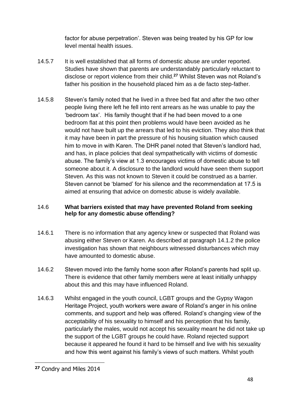factor for abuse perpetration'. Steven was being treated by his GP for low level mental health issues.

- 14.5.7 It is well established that all forms of domestic abuse are under reported. Studies have shown that parents are understandably particularly reluctant to disclose or report violence from their child.**<sup>27</sup>** Whilst Steven was not Roland's father his position in the household placed him as a de facto step-father.
- 14.5.8 Steven's family noted that he lived in a three bed flat and after the two other people living there left he fell into rent arrears as he was unable to pay the 'bedroom tax'. His family thought that if he had been moved to a one bedroom flat at this point then problems would have been avoided as he would not have built up the arrears that led to his eviction. They also think that it may have been in part the pressure of his housing situation which caused him to move in with Karen. The DHR panel noted that Steven's landlord had, and has, in place policies that deal sympathetically with victims of domestic abuse. The family's view at 1.3 encourages victims of domestic abuse to tell someone about it. A disclosure to the landlord would have seen them support Steven. As this was not known to Steven it could be construed as a barrier. Steven cannot be 'blamed' for his silence and the recommendation at 17.5 is aimed at ensuring that advice on domestic abuse is widely available.

#### 14.6 **What barriers existed that may have prevented Roland from seeking help for any domestic abuse offending?**

- 14.6.1 There is no information that any agency knew or suspected that Roland was abusing either Steven or Karen. As described at paragraph 14.1.2 the police investigation has shown that neighbours witnessed disturbances which may have amounted to domestic abuse.
- 14.6.2 Steven moved into the family home soon after Roland's parents had split up. There is evidence that other family members were at least initially unhappy about this and this may have influenced Roland.
- 14.6.3 Whilst engaged in the youth council, LGBT groups and the Gypsy Wagon Heritage Project, youth workers were aware of Roland's anger in his online comments, and support and help was offered. Roland's changing view of the acceptability of his sexuality to himself and his perception that his family, particularly the males, would not accept his sexuality meant he did not take up the support of the LGBT groups he could have. Roland rejected support because it appeared he found it hard to be himself and live with his sexuality and how this went against his family's views of such matters. Whilst youth

**<sup>27</sup>** Condry and Miles 2014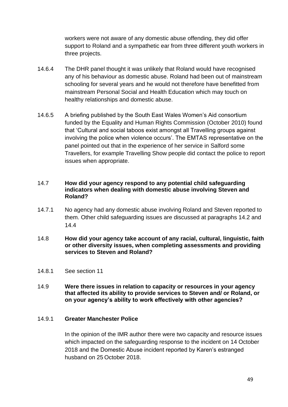workers were not aware of any domestic abuse offending, they did offer support to Roland and a sympathetic ear from three different youth workers in three projects.

- 14.6.4 The DHR panel thought it was unlikely that Roland would have recognised any of his behaviour as domestic abuse. Roland had been out of mainstream schooling for several years and he would not therefore have benefitted from mainstream Personal Social and Health Education which may touch on healthy relationships and domestic abuse.
- 14.6.5 A briefing published by the South East Wales Women's Aid consortium funded by the Equality and Human Rights Commission (October 2010) found that 'Cultural and social taboos exist amongst all Travelling groups against involving the police when violence occurs'. The EMTAS representative on the panel pointed out that in the experience of her service in Salford some Travellers, for example Travelling Show people did contact the police to report issues when appropriate.

#### 14.7 **How did your agency respond to any potential child safeguarding indicators when dealing with domestic abuse involving Steven and Roland?**

- 14.7.1 No agency had any domestic abuse involving Roland and Steven reported to them. Other child safeguarding issues are discussed at paragraphs 14.2 and 14.4
- 14.8 **How did your agency take account of any racial, cultural, linguistic, faith or other diversity issues, when completing assessments and providing services to Steven and Roland?**
- 14.8.1 See section 11
- 14.9 **Were there issues in relation to capacity or resources in your agency that affected its ability to provide services to Steven and/ or Roland, or on your agency's ability to work effectively with other agencies?**

#### 14.9.1 **Greater Manchester Police**

In the opinion of the IMR author there were two capacity and resource issues which impacted on the safeguarding response to the incident on 14 October 2018 and the Domestic Abuse incident reported by Karen's estranged husband on 25 October 2018.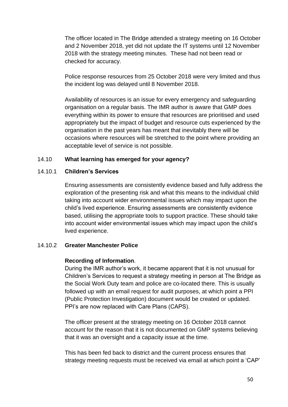The officer located in The Bridge attended a strategy meeting on 16 October and 2 November 2018, yet did not update the IT systems until 12 November 2018 with the strategy meeting minutes. These had not been read or checked for accuracy.

Police response resources from 25 October 2018 were very limited and thus the incident log was delayed until 8 November 2018.

Availability of resources is an issue for every emergency and safeguarding organisation on a regular basis. The IMR author is aware that GMP does everything within its power to ensure that resources are prioritised and used appropriately but the impact of budget and resource cuts experienced by the organisation in the past years has meant that inevitably there will be occasions where resources will be stretched to the point where providing an acceptable level of service is not possible.

#### 14.10 **What learning has emerged for your agency?**

#### 14.10.1 **Children's Services**

Ensuring assessments are consistently evidence based and fully address the exploration of the presenting risk and what this means to the individual child taking into account wider environmental issues which may impact upon the child's lived experience. Ensuring assessments are consistently evidence based, utilising the appropriate tools to support practice. These should take into account wider environmental issues which may impact upon the child's lived experience.

#### 14.10.2 **Greater Manchester Police**

#### **Recording of Information**.

During the IMR author's work, it became apparent that it is not unusual for Children's Services to request a strategy meeting in person at The Bridge as the Social Work Duty team and police are co-located there. This is usually followed up with an email request for audit purposes, at which point a PPI (Public Protection Investigation) document would be created or updated. PPI's are now replaced with Care Plans (CAPS).

The officer present at the strategy meeting on 16 October 2018 cannot account for the reason that it is not documented on GMP systems believing that it was an oversight and a capacity issue at the time.

This has been fed back to district and the current process ensures that strategy meeting requests must be received via email at which point a 'CAP'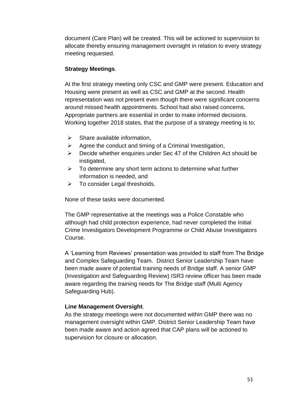document (Care Plan) will be created. This will be actioned to supervision to allocate thereby ensuring management oversight in relation to every strategy meeting requested.

#### **Strategy Meetings**.

At the first strategy meeting only CSC and GMP were present. Education and Housing were present as well as CSC and GMP at the second. Health representation was not present even though there were significant concerns around missed health appointments. School had also raised concerns. Appropriate partners are essential in order to make informed decisions. Working together 2018 states, that the purpose of a strategy meeting is to;

- $\triangleright$  Share available information,
- $\triangleright$  Agree the conduct and timing of a Criminal Investigation,
- ➢ Decide whether enquiries under Sec 47 of the Children Act should be instigated,
- $\triangleright$  To determine any short term actions to determine what further information is needed, and
- ➢ To consider Legal thresholds.

None of these tasks were documented.

The GMP representative at the meetings was a Police Constable who although had child protection experience, had never completed the Initial Crime Investigators Development Programme or Child Abuse Investigators Course.

A 'Learning from Reviews' presentation was provided to staff from The Bridge and Complex Safeguarding Team. District Senior Leadership Team have been made aware of potential training needs of Bridge staff. A senior GMP (Investigation and Safeguarding Review) ISR3 review officer has been made aware regarding the training needs for The Bridge staff (Multi Agency Safeguarding Hub).

#### **Line Management Oversight**.

As the strategy meetings were not documented within GMP there was no management oversight within GMP. District Senior Leadership Team have been made aware and action agreed that CAP plans will be actioned to supervision for closure or allocation.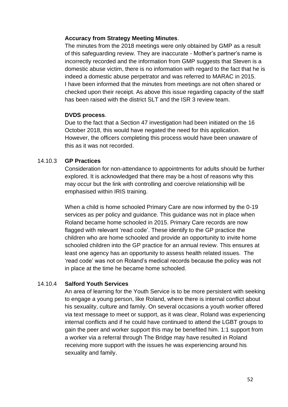#### **Accuracy from Strategy Meeting Minutes**.

The minutes from the 2018 meetings were only obtained by GMP as a result of this safeguarding review. They are inaccurate - Mother's partner's name is incorrectly recorded and the information from GMP suggests that Steven is a domestic abuse victim, there is no information with regard to the fact that he is indeed a domestic abuse perpetrator and was referred to MARAC in 2015. I have been informed that the minutes from meetings are not often shared or checked upon their receipt. As above this issue regarding capacity of the staff has been raised with the district SLT and the ISR 3 review team.

#### **DVDS process**.

Due to the fact that a Section 47 investigation had been initiated on the 16 October 2018, this would have negated the need for this application. However, the officers completing this process would have been unaware of this as it was not recorded.

#### 14.10.3 **GP Practices**

Consideration for non-attendance to appointments for adults should be further explored. It is acknowledged that there may be a host of reasons why this may occur but the link with controlling and coercive relationship will be emphasised within IRIS training.

When a child is home schooled Primary Care are now informed by the 0-19 services as per policy and guidance. This guidance was not in place when Roland became home schooled in 2015. Primary Care records are now flagged with relevant 'read code'. These identify to the GP practice the children who are home schooled and provide an opportunity to invite home schooled children into the GP practice for an annual review. This ensures at least one agency has an opportunity to assess health related issues. The 'read code' was not on Roland's medical records because the policy was not in place at the time he became home schooled.

#### 14.10.4 **Salford Youth Services**

An area of learning for the Youth Service is to be more persistent with seeking to engage a young person, like Roland, where there is internal conflict about his sexuality, culture and family. On several occasions a youth worker offered via text message to meet or support, as it was clear, Roland was experiencing internal conflicts and if he could have continued to attend the LGBT groups to gain the peer and worker support this may be benefited him. 1:1 support from a worker via a referral through The Bridge may have resulted in Roland receiving more support with the issues he was experiencing around his sexuality and family.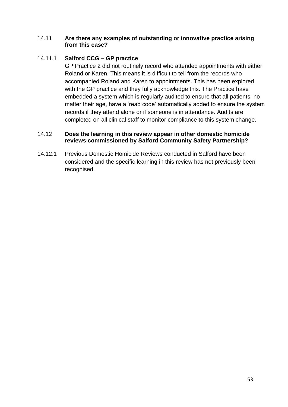#### 14.11 **Are there any examples of outstanding or innovative practice arising from this case?**

#### 14.11.1 **Salford CCG – GP practice**

GP Practice 2 did not routinely record who attended appointments with either Roland or Karen. This means it is difficult to tell from the records who accompanied Roland and Karen to appointments. This has been explored with the GP practice and they fully acknowledge this. The Practice have embedded a system which is regularly audited to ensure that all patients, no matter their age, have a 'read code' automatically added to ensure the system records if they attend alone or if someone is in attendance. Audits are completed on all clinical staff to monitor compliance to this system change.

#### 14.12 **Does the learning in this review appear in other domestic homicide reviews commissioned by Salford Community Safety Partnership?**

14.12.1 Previous Domestic Homicide Reviews conducted in Salford have been considered and the specific learning in this review has not previously been recognised.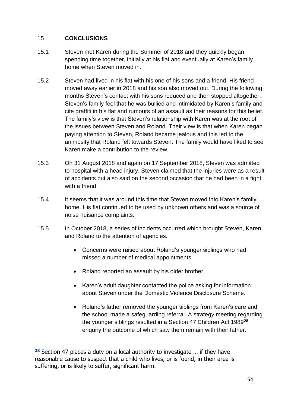#### 15 **CONCLUSIONS**

- 15.1 Steven met Karen during the Summer of 2018 and they quickly began spending time together, initially at his flat and eventually at Karen's family home when Steven moved in.
- 15.2 Steven had lived in his flat with his one of his sons and a friend. His friend moved away earlier in 2018 and his son also moved out. During the following months Steven's contact with his sons reduced and then stopped altogether. Steven's family feel that he was bullied and intimidated by Karen's family and cite graffiti in his flat and rumours of an assault as their reasons for this belief. The family's view is that Steven's relationship with Karen was at the root of the issues between Steven and Roland. Their view is that when Karen began paying attention to Steven, Roland became jealous and this led to the animosity that Roland felt towards Steven. The family would have liked to see Karen make a contribution to the review.
- 15.3 On 31 August 2018 and again on 17 September 2018, Steven was admitted to hospital with a head injury. Steven claimed that the injuries were as a result of accidents but also said on the second occasion that he had been in a fight with a friend.
- 15.4 It seems that it was around this time that Steven moved into Karen's family home. His flat continued to be used by unknown others and was a source of noise nuisance complaints.
- 15.5 In October 2018, a series of incidents occurred which brought Steven, Karen and Roland to the attention of agencies.
	- Concerns were raised about Roland's younger siblings who had missed a number of medical appointments.
	- Roland reported an assault by his older brother.
	- Karen's adult daughter contacted the police asking for information about Steven under the Domestic Violence Disclosure Scheme.
	- Roland's father removed the younger siblings from Karen's care and the school made a safeguarding referral. A strategy meeting regarding the younger siblings resulted in a Section 47 Children Act 1989**<sup>28</sup>** enquiry the outcome of which saw them remain with their father.

**<sup>28</sup>** Section 47 places a duty on a local authority to investigate … if they have reasonable cause to suspect that a child who lives, or is found, in their area is suffering, or is likely to suffer, significant harm.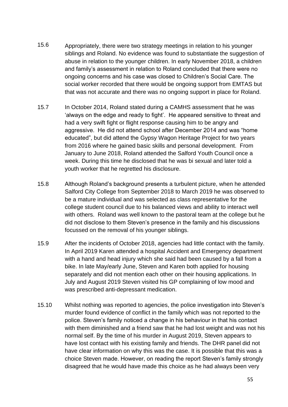- 15.6 Appropriately, there were two strategy meetings in relation to his younger siblings and Roland. No evidence was found to substantiate the suggestion of abuse in relation to the younger children. In early November 2018, a children and family's assessment in relation to Roland concluded that there were no ongoing concerns and his case was closed to Children's Social Care. The social worker recorded that there would be ongoing support from EMTAS but that was not accurate and there was no ongoing support in place for Roland.
- 15.7 In October 2014, Roland stated during a CAMHS assessment that he was 'always on the edge and ready to fight'. He appeared sensitive to threat and had a very swift fight or flight response causing him to be angry and aggressive. He did not attend school after December 2014 and was "home educated", but did attend the Gypsy Wagon Heritage Project for two years from 2016 where he gained basic skills and personal development. From January to June 2018, Roland attended the Salford Youth Council once a week. During this time he disclosed that he was bi sexual and later told a youth worker that he regretted his disclosure.
- 15.8 Although Roland's background presents a turbulent picture, when he attended Salford City College from September 2018 to March 2019 he was observed to be a mature individual and was selected as class representative for the college student council due to his balanced views and ability to interact well with others. Roland was well known to the pastoral team at the college but he did not disclose to them Steven's presence in the family and his discussions focussed on the removal of his younger siblings.
- 15.9 After the incidents of October 2018, agencies had little contact with the family. In April 2019 Karen attended a hospital Accident and Emergency department with a hand and head injury which she said had been caused by a fall from a bike. In late May/early June, Steven and Karen both applied for housing separately and did not mention each other on their housing applications. In July and August 2019 Steven visited his GP complaining of low mood and was prescribed anti-depressant medication.
- 15.10 Whilst nothing was reported to agencies, the police investigation into Steven's murder found evidence of conflict in the family which was not reported to the police. Steven's family noticed a change in his behaviour in that his contact with them diminished and a friend saw that he had lost weight and was not his normal self. By the time of his murder in August 2019, Steven appears to have lost contact with his existing family and friends. The DHR panel did not have clear information on why this was the case. It is possible that this was a choice Steven made. However, on reading the report Steven's family strongly disagreed that he would have made this choice as he had always been very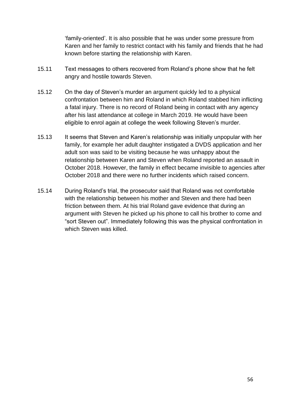'family-oriented'. It is also possible that he was under some pressure from Karen and her family to restrict contact with his family and friends that he had known before starting the relationship with Karen.

- 15.11 Text messages to others recovered from Roland's phone show that he felt angry and hostile towards Steven.
- 15.12 On the day of Steven's murder an argument quickly led to a physical confrontation between him and Roland in which Roland stabbed him inflicting a fatal injury. There is no record of Roland being in contact with any agency after his last attendance at college in March 2019. He would have been eligible to enrol again at college the week following Steven's murder.
- 15.13 It seems that Steven and Karen's relationship was initially unpopular with her family, for example her adult daughter instigated a DVDS application and her adult son was said to be visiting because he was unhappy about the relationship between Karen and Steven when Roland reported an assault in October 2018. However, the family in effect became invisible to agencies after October 2018 and there were no further incidents which raised concern.
- 15.14 During Roland's trial, the prosecutor said that Roland was not comfortable with the relationship between his mother and Steven and there had been friction between them. At his trial Roland gave evidence that during an argument with Steven he picked up his phone to call his brother to come and "sort Steven out". Immediately following this was the physical confrontation in which Steven was killed.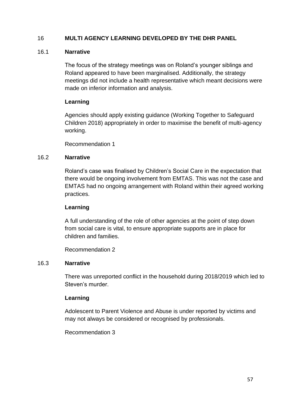#### 16 **MULTI AGENCY LEARNING DEVELOPED BY THE DHR PANEL**

#### 16.1 **Narrative**

The focus of the strategy meetings was on Roland's younger siblings and Roland appeared to have been marginalised. Additionally, the strategy meetings did not include a health representative which meant decisions were made on inferior information and analysis.

#### **Learning**

Agencies should apply existing guidance (Working Together to Safeguard Children 2018) appropriately in order to maximise the benefit of multi-agency working.

Recommendation 1

#### 16.2 **Narrative**

Roland's case was finalised by Children's Social Care in the expectation that there would be ongoing involvement from EMTAS. This was not the case and EMTAS had no ongoing arrangement with Roland within their agreed working practices.

#### **Learning**

A full understanding of the role of other agencies at the point of step down from social care is vital, to ensure appropriate supports are in place for children and families.

Recommendation 2

#### 16.3 **Narrative**

There was unreported conflict in the household during 2018/2019 which led to Steven's murder.

#### **Learning**

Adolescent to Parent Violence and Abuse is under reported by victims and may not always be considered or recognised by professionals.

Recommendation 3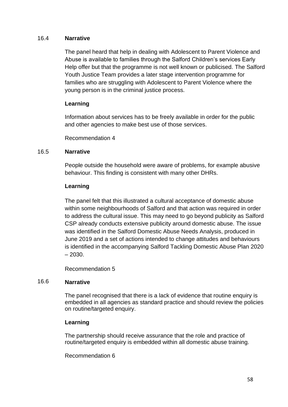#### 16.4 **Narrative**

The panel heard that help in dealing with Adolescent to Parent Violence and Abuse is available to families through the Salford Children's services Early Help offer but that the programme is not well known or publicised. The Salford Youth Justice Team provides a later stage intervention programme for families who are struggling with Adolescent to Parent Violence where the young person is in the criminal justice process.

#### **Learning**

Information about services has to be freely available in order for the public and other agencies to make best use of those services.

Recommendation 4

#### 16.5 **Narrative**

People outside the household were aware of problems, for example abusive behaviour. This finding is consistent with many other DHRs.

#### **Learning**

The panel felt that this illustrated a cultural acceptance of domestic abuse within some neighbourhoods of Salford and that action was required in order to address the cultural issue. This may need to go beyond publicity as Salford CSP already conducts extensive publicity around domestic abuse. The issue was identified in the Salford Domestic Abuse Needs Analysis, produced in June 2019 and a set of actions intended to change attitudes and behaviours is identified in the accompanying Salford Tackling Domestic Abuse Plan 2020 – 2030.

Recommendation 5

#### 16.6 **Narrative**

The panel recognised that there is a lack of evidence that routine enquiry is embedded in all agencies as standard practice and should review the policies on routine/targeted enquiry.

#### **Learning**

The partnership should receive assurance that the role and practice of routine/targeted enquiry is embedded within all domestic abuse training.

Recommendation 6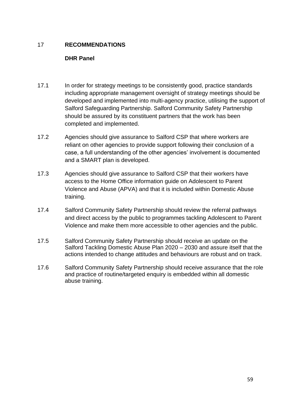#### 17 **RECOMMENDATIONS**

#### **DHR Panel**

- 17.1 In order for strategy meetings to be consistently good, practice standards including appropriate management oversight of strategy meetings should be developed and implemented into multi-agency practice, utilising the support of Salford Safeguarding Partnership. Salford Community Safety Partnership should be assured by its constituent partners that the work has been completed and implemented.
- 17.2 Agencies should give assurance to Salford CSP that where workers are reliant on other agencies to provide support following their conclusion of a case, a full understanding of the other agencies' involvement is documented and a SMART plan is developed.
- 17.3 Agencies should give assurance to Salford CSP that their workers have access to the Home Office information guide on Adolescent to Parent Violence and Abuse (APVA) and that it is included within Domestic Abuse training.
- 17.4 Salford Community Safety Partnership should review the referral pathways and direct access by the public to programmes tackling Adolescent to Parent Violence and make them more accessible to other agencies and the public.
- 17.5 Salford Community Safety Partnership should receive an update on the Salford Tackling Domestic Abuse Plan 2020 – 2030 and assure itself that the actions intended to change attitudes and behaviours are robust and on track.
- 17.6 Salford Community Safety Partnership should receive assurance that the role and practice of routine/targeted enquiry is embedded within all domestic abuse training.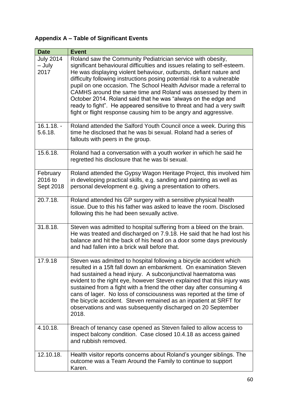### **Appendix A – Table of Significant Events**

| <b>Date</b>                        | <b>Event</b>                                                                                                                                                                                                                                                                                                                                                                                                                                                                                                                                                                                                                                   |
|------------------------------------|------------------------------------------------------------------------------------------------------------------------------------------------------------------------------------------------------------------------------------------------------------------------------------------------------------------------------------------------------------------------------------------------------------------------------------------------------------------------------------------------------------------------------------------------------------------------------------------------------------------------------------------------|
| <b>July 2014</b><br>- July<br>2017 | Roland saw the Community Pediatrician service with obesity,<br>significant behavioural difficulties and issues relating to self-esteem.<br>He was displaying violent behaviour, outbursts, defiant nature and<br>difficulty following instructions posing potential risk to a vulnerable<br>pupil on one occasion. The School Health Advisor made a referral to<br>CAMHS around the same time and Roland was assessed by them in<br>October 2014. Roland said that he was "always on the edge and<br>ready to fight". He appeared sensitive to threat and had a very swift<br>fight or flight response causing him to be angry and aggressive. |
| $16.1.18. -$<br>5.6.18.            | Roland attended the Salford Youth Council once a week. During this<br>time he disclosed that he was bi sexual. Roland had a series of<br>fallouts with peers in the group.                                                                                                                                                                                                                                                                                                                                                                                                                                                                     |
| 15.6.18.                           | Roland had a conversation with a youth worker in which he said he<br>regretted his disclosure that he was bi sexual.                                                                                                                                                                                                                                                                                                                                                                                                                                                                                                                           |
| February<br>2016 to<br>Sept 2018   | Roland attended the Gypsy Wagon Heritage Project, this involved him<br>in developing practical skills, e.g. sanding and painting as well as<br>personal development e.g. giving a presentation to others.                                                                                                                                                                                                                                                                                                                                                                                                                                      |
| 20.7.18.                           | Roland attended his GP surgery with a sensitive physical health<br>issue. Due to this his father was asked to leave the room. Disclosed<br>following this he had been sexually active.                                                                                                                                                                                                                                                                                                                                                                                                                                                         |
| 31.8.18.                           | Steven was admitted to hospital suffering from a bleed on the brain.<br>He was treated and discharged on 7.9.18. He said that he had lost his<br>balance and hit the back of his head on a door some days previously<br>and had fallen into a brick wall before that.                                                                                                                                                                                                                                                                                                                                                                          |
| 17.9.18                            | Steven was admitted to hospital following a bicycle accident which<br>resulted in a 15ft fall down an embankment. On examination Steven<br>had sustained a head injury. A subconjunctival haematoma was<br>evident to the right eye, however Steven explained that this injury was<br>sustained from a fight with a friend the other day after consuming 4<br>cans of lager. No loss of consciousness was reported at the time of<br>the bicycle accident. Steven remained as an inpatient at SRFT for<br>observations and was subsequently discharged on 20 September<br>2018.                                                                |
| 4.10.18.                           | Breach of tenancy case opened as Steven failed to allow access to<br>inspect balcony condition. Case closed 10.4.18 as access gained<br>and rubbish removed.                                                                                                                                                                                                                                                                                                                                                                                                                                                                                   |
| 12.10.18.                          | Health visitor reports concerns about Roland's younger siblings. The<br>outcome was a Team Around the Family to continue to support<br>Karen.                                                                                                                                                                                                                                                                                                                                                                                                                                                                                                  |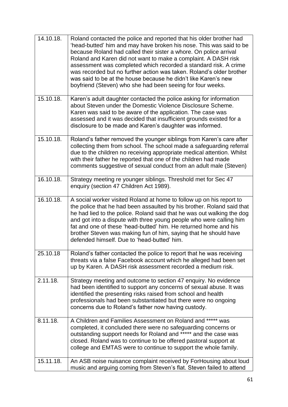| 14.10.18. | Roland contacted the police and reported that his older brother had<br>'head-butted' him and may have broken his nose. This was said to be<br>because Roland had called their sister a whore. On police arrival<br>Roland and Karen did not want to make a complaint. A DASH risk<br>assessment was completed which recorded a standard risk. A crime<br>was recorded but no further action was taken. Roland's older brother<br>was said to be at the house because he didn't like Karen's new<br>boyfriend (Steven) who she had been seeing for four weeks. |
|-----------|---------------------------------------------------------------------------------------------------------------------------------------------------------------------------------------------------------------------------------------------------------------------------------------------------------------------------------------------------------------------------------------------------------------------------------------------------------------------------------------------------------------------------------------------------------------|
| 15.10.18. | Karen's adult daughter contacted the police asking for information<br>about Steven under the Domestic Violence Disclosure Scheme.<br>Karen was said to be aware of the application. The case was<br>assessed and it was decided that insufficient grounds existed for a<br>disclosure to be made and Karen's daughter was informed.                                                                                                                                                                                                                           |
| 15.10.18. | Roland's father removed the younger siblings from Karen's care after<br>collecting them from school. The school made a safeguarding referral<br>due to the children no receiving appropriate medical attention. Whilst<br>with their father he reported that one of the children had made<br>comments suggestive of sexual conduct from an adult male (Steven)                                                                                                                                                                                                |
| 16.10.18. | Strategy meeting re younger siblings. Threshold met for Sec 47<br>enquiry (section 47 Children Act 1989).                                                                                                                                                                                                                                                                                                                                                                                                                                                     |
| 16.10.18. | A social worker visited Roland at home to follow up on his report to<br>the police that he had been assaulted by his brother. Roland said that<br>he had lied to the police. Roland said that he was out walking the dog<br>and got into a dispute with three young people who were calling him<br>fat and one of these 'head-butted' him. He returned home and his<br>brother Steven was making fun of him, saying that he should have<br>defended himself. Due to 'head-butted' him.                                                                        |
| 25.10.18  | Roland's father contacted the police to report that he was receiving<br>threats via a false Facebook account which he alleged had been set<br>up by Karen. A DASH risk assessment recorded a medium risk.                                                                                                                                                                                                                                                                                                                                                     |
| 2.11.18.  | Strategy meeting and outcome to section 47 enquiry. No evidence<br>had been identified to support any concerns of sexual abuse. It was<br>identified the presenting risks raised from school and health<br>professionals had been substantiated but there were no ongoing<br>concerns due to Roland's father now having custody.                                                                                                                                                                                                                              |
| 8.11.18.  | A Children and Families Assessment on Roland and ***** was<br>completed, it concluded there were no safeguarding concerns or<br>outstanding support needs for Roland and ***** and the case was<br>closed. Roland was to continue to be offered pastoral support at<br>college and EMTAS were to continue to support the whole family.                                                                                                                                                                                                                        |
| 15.11.18. | An ASB noise nuisance complaint received by ForHousing about loud<br>music and arguing coming from Steven's flat. Steven failed to attend                                                                                                                                                                                                                                                                                                                                                                                                                     |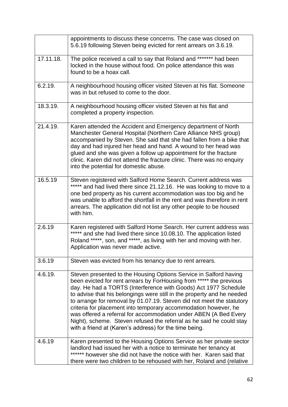|           | appointments to discuss these concerns. The case was closed on<br>5.6.19 following Steven being evicted for rent arrears on 3.6.19.                                                                                                                                                                                                                                                                                                                                                                                                                                                                                                     |
|-----------|-----------------------------------------------------------------------------------------------------------------------------------------------------------------------------------------------------------------------------------------------------------------------------------------------------------------------------------------------------------------------------------------------------------------------------------------------------------------------------------------------------------------------------------------------------------------------------------------------------------------------------------------|
| 17.11.18. | The police received a call to say that Roland and ******* had been<br>locked in the house without food. On police attendance this was<br>found to be a hoax call.                                                                                                                                                                                                                                                                                                                                                                                                                                                                       |
| 6.2.19.   | A neighbourhood housing officer visited Steven at his flat. Someone<br>was in but refused to come to the door.                                                                                                                                                                                                                                                                                                                                                                                                                                                                                                                          |
| 18.3.19.  | A neighbourhood housing officer visited Steven at his flat and<br>completed a property inspection.                                                                                                                                                                                                                                                                                                                                                                                                                                                                                                                                      |
| 21.4.19.  | Karen attended the Accident and Emergency department of North<br>Manchester General Hospital (Northern Care Alliance NHS group)<br>accompanied by Steven. She said that she had fallen from a bike that<br>day and had injured her head and hand. A wound to her head was<br>glued and she was given a follow up appointment for the fracture<br>clinic. Karen did not attend the fracture clinic. There was no enquiry<br>into the potential for domestic abuse.                                                                                                                                                                       |
| 16.5.19   | Steven registered with Salford Home Search. Current address was<br>***** and had lived there since 21.12.16. He was looking to move to a<br>one bed property as his current accommodation was too big and he<br>was unable to afford the shortfall in the rent and was therefore in rent<br>arrears. The application did not list any other people to be housed<br>with him.                                                                                                                                                                                                                                                            |
| 2.6.19    | Karen registered with Salford Home Search. Her current address was<br>***** and she had lived there since 10.08.10. The application listed<br>Roland *****, son, and *****, as living with her and moving with her.<br>Application was never made active.                                                                                                                                                                                                                                                                                                                                                                               |
| 3.6.19    | Steven was evicted from his tenancy due to rent arrears.                                                                                                                                                                                                                                                                                                                                                                                                                                                                                                                                                                                |
| 4.6.19.   | Steven presented to the Housing Options Service in Salford having<br>been evicted for rent arrears by ForHousing from ***** the previous<br>day. He had a TORTS (Interference with Goods) Act 1977 Schedule<br>to advise that his belongings were still in the property and he needed<br>to arrange for removal by 01.07.19. Steven did not meet the statutory<br>criteria for placement into temporary accommodation however, he<br>was offered a referral for accommodation under ABEN (A Bed Every<br>Night), scheme. Steven refused the referral as he said he could stay<br>with a friend at (Karen's address) for the time being. |
| 4.6.19    | Karen presented to the Housing Options Service as her private sector<br>landlord had issued her with a notice to terminate her tenancy at<br>****** however she did not have the notice with her. Karen said that<br>there were two children to be rehoused with her, Roland and (relative                                                                                                                                                                                                                                                                                                                                              |